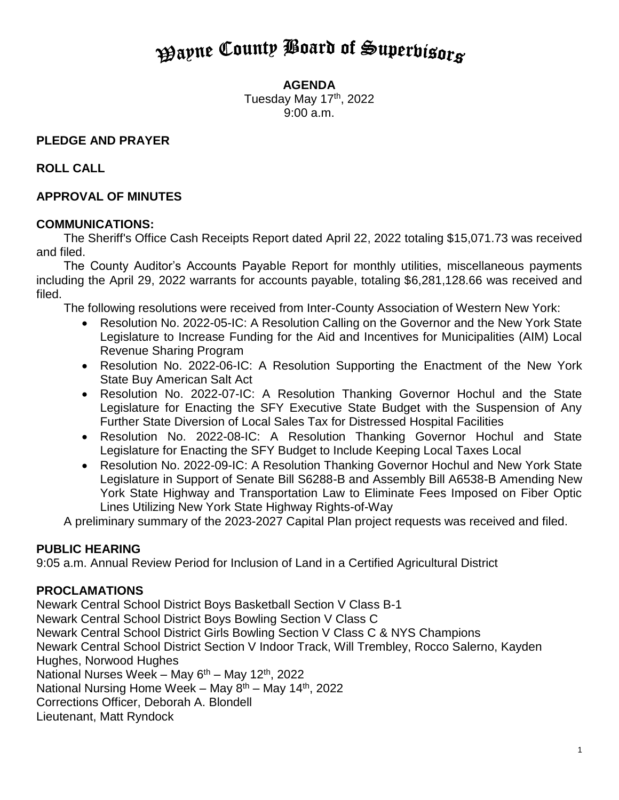# **Payne County Board of Superbisors**

**AGENDA**

Tuesday May 17<sup>th</sup>, 2022 9:00 a.m.

# **PLEDGE AND PRAYER**

# **ROLL CALL**

# **APPROVAL OF MINUTES**

# **COMMUNICATIONS:**

The Sheriff's Office Cash Receipts Report dated April 22, 2022 totaling \$15,071.73 was received and filed.

The County Auditor's Accounts Payable Report for monthly utilities, miscellaneous payments including the April 29, 2022 warrants for accounts payable, totaling \$6,281,128.66 was received and filed.

The following resolutions were received from Inter-County Association of Western New York:

- Resolution No. 2022-05-IC: A Resolution Calling on the Governor and the New York State Legislature to Increase Funding for the Aid and Incentives for Municipalities (AIM) Local Revenue Sharing Program
- Resolution No. 2022-06-IC: A Resolution Supporting the Enactment of the New York State Buy American Salt Act
- Resolution No. 2022-07-IC: A Resolution Thanking Governor Hochul and the State Legislature for Enacting the SFY Executive State Budget with the Suspension of Any Further State Diversion of Local Sales Tax for Distressed Hospital Facilities
- Resolution No. 2022-08-IC: A Resolution Thanking Governor Hochul and State Legislature for Enacting the SFY Budget to Include Keeping Local Taxes Local
- Resolution No. 2022-09-IC: A Resolution Thanking Governor Hochul and New York State Legislature in Support of Senate Bill S6288-B and Assembly Bill A6538-B Amending New York State Highway and Transportation Law to Eliminate Fees Imposed on Fiber Optic Lines Utilizing New York State Highway Rights-of-Way

A preliminary summary of the 2023-2027 Capital Plan project requests was received and filed.

# **PUBLIC HEARING**

9:05 a.m. Annual Review Period for Inclusion of Land in a Certified Agricultural District

# **PROCLAMATIONS**

Newark Central School District Boys Basketball Section V Class B-1 Newark Central School District Boys Bowling Section V Class C Newark Central School District Girls Bowling Section V Class C & NYS Champions Newark Central School District Section V Indoor Track, Will Trembley, Rocco Salerno, Kayden Hughes, Norwood Hughes National Nurses Week – May  $6<sup>th</sup>$  – May 12<sup>th</sup>, 2022 National Nursing Home Week – May  $8<sup>th</sup>$  – May 14<sup>th</sup>, 2022 Corrections Officer, Deborah A. Blondell Lieutenant, Matt Ryndock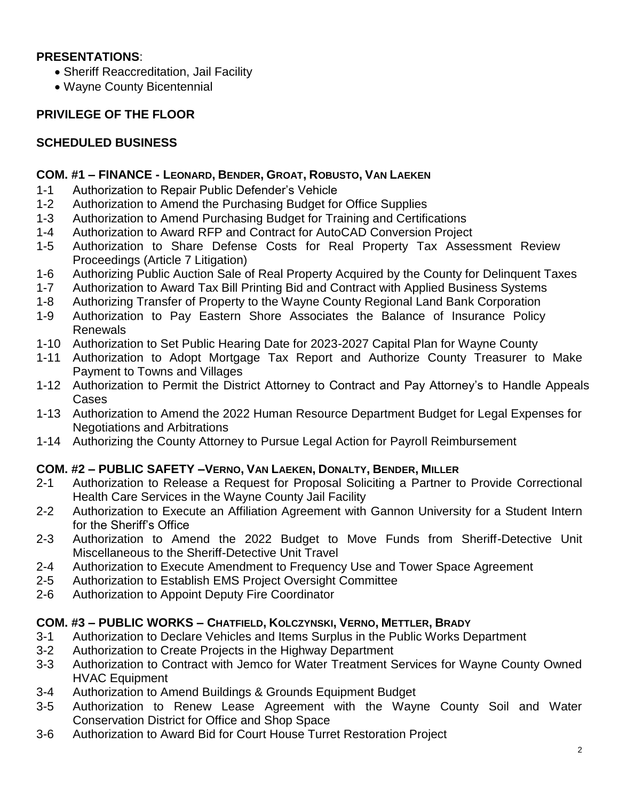## **PRESENTATIONS**:

- Sheriff Reaccreditation, Jail Facility
- Wayne County Bicentennial

## **PRIVILEGE OF THE FLOOR**

## **SCHEDULED BUSINESS**

## **COM. #1 – FINANCE - LEONARD, BENDER, GROAT, ROBUSTO, VAN LAEKEN**

- 1-1 Authorization to Repair Public Defender's Vehicle
- 1-2 Authorization to Amend the Purchasing Budget for Office Supplies
- 1-3 Authorization to Amend Purchasing Budget for Training and Certifications
- 1-4 Authorization to Award RFP and Contract for AutoCAD Conversion Project
- 1-5 Authorization to Share Defense Costs for Real Property Tax Assessment Review Proceedings (Article 7 Litigation)
- 1-6 Authorizing Public Auction Sale of Real Property Acquired by the County for Delinquent Taxes
- 1-7 Authorization to Award Tax Bill Printing Bid and Contract with Applied Business Systems
- 1-8 Authorizing Transfer of Property to the Wayne County Regional Land Bank Corporation
- 1-9 Authorization to Pay Eastern Shore Associates the Balance of Insurance Policy Renewals
- 1-10 Authorization to Set Public Hearing Date for 2023-2027 Capital Plan for Wayne County
- 1-11 Authorization to Adopt Mortgage Tax Report and Authorize County Treasurer to Make Payment to Towns and Villages
- 1-12 Authorization to Permit the District Attorney to Contract and Pay Attorney's to Handle Appeals Cases
- 1-13 Authorization to Amend the 2022 Human Resource Department Budget for Legal Expenses for Negotiations and Arbitrations
- 1-14 Authorizing the County Attorney to Pursue Legal Action for Payroll Reimbursement

## **COM. #2 – PUBLIC SAFETY –VERNO, VAN LAEKEN, DONALTY, BENDER, MILLER**

- 2-1 Authorization to Release a Request for Proposal Soliciting a Partner to Provide Correctional Health Care Services in the Wayne County Jail Facility
- 2-2 Authorization to Execute an Affiliation Agreement with Gannon University for a Student Intern for the Sheriff's Office
- 2-3 Authorization to Amend the 2022 Budget to Move Funds from Sheriff-Detective Unit Miscellaneous to the Sheriff-Detective Unit Travel
- 2-4 Authorization to Execute Amendment to Frequency Use and Tower Space Agreement
- 2-5 Authorization to Establish EMS Project Oversight Committee
- 2-6 Authorization to Appoint Deputy Fire Coordinator

## **COM. #3 – PUBLIC WORKS – CHATFIELD, KOLCZYNSKI, VERNO, METTLER, BRADY**

- 3-1 Authorization to Declare Vehicles and Items Surplus in the Public Works Department
- 3-2 Authorization to Create Projects in the Highway Department
- 3-3 Authorization to Contract with Jemco for Water Treatment Services for Wayne County Owned HVAC Equipment
- 3-4 Authorization to Amend Buildings & Grounds Equipment Budget
- 3-5 Authorization to Renew Lease Agreement with the Wayne County Soil and Water Conservation District for Office and Shop Space
- 3-6 Authorization to Award Bid for Court House Turret Restoration Project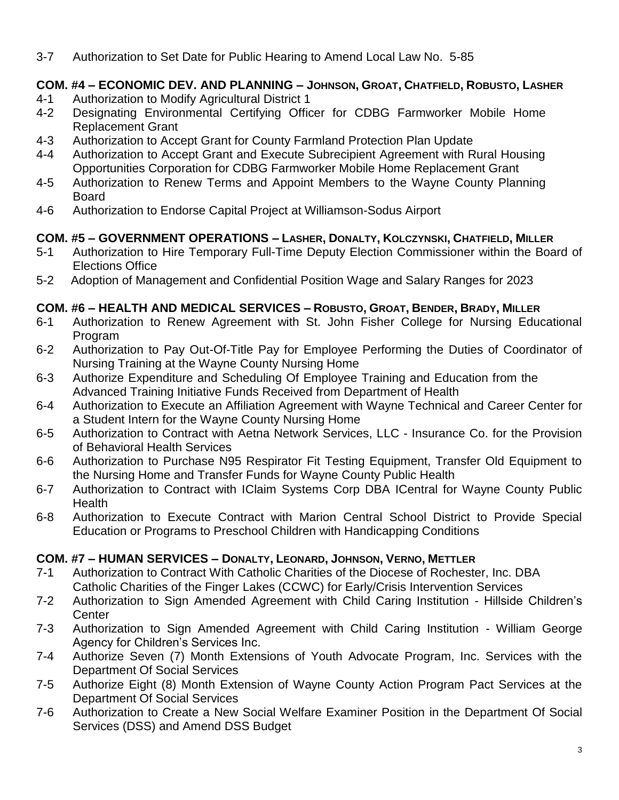3-7 Authorization to Set Date for Public Hearing to Amend Local Law No. 5-85

## **COM. #4 – ECONOMIC DEV. AND PLANNING – JOHNSON, GROAT, CHATFIELD, ROBUSTO, LASHER**

- 4-1 Authorization to Modify Agricultural District 1<br>4-2 Designating Environmental Certifying Offic
- Designating Environmental Certifying Officer for CDBG Farmworker Mobile Home Replacement Grant
- 4-3 Authorization to Accept Grant for County Farmland Protection Plan Update
- 4-4 Authorization to Accept Grant and Execute Subrecipient Agreement with Rural Housing Opportunities Corporation for CDBG Farmworker Mobile Home Replacement Grant
- 4-5 Authorization to Renew Terms and Appoint Members to the Wayne County Planning Board
- 4-6 Authorization to Endorse Capital Project at Williamson-Sodus Airport

## **COM. #5 – GOVERNMENT OPERATIONS – LASHER, DONALTY, KOLCZYNSKI, CHATFIELD, MILLER**

- 5-1 Authorization to Hire Temporary Full-Time Deputy Election Commissioner within the Board of Elections Office
- 5-2 Adoption of Management and Confidential Position Wage and Salary Ranges for 2023

## **COM. #6 – HEALTH AND MEDICAL SERVICES – ROBUSTO, GROAT, BENDER, BRADY, MILLER**

- 6-1 Authorization to Renew Agreement with St. John Fisher College for Nursing Educational Program
- 6-2 Authorization to Pay Out-Of-Title Pay for Employee Performing the Duties of Coordinator of Nursing Training at the Wayne County Nursing Home
- 6-3 Authorize Expenditure and Scheduling Of Employee Training and Education from the Advanced Training Initiative Funds Received from Department of Health
- 6-4 Authorization to Execute an Affiliation Agreement with Wayne Technical and Career Center for a Student Intern for the Wayne County Nursing Home
- 6-5 Authorization to Contract with Aetna Network Services, LLC Insurance Co. for the Provision of Behavioral Health Services
- 6-6 Authorization to Purchase N95 Respirator Fit Testing Equipment, Transfer Old Equipment to the Nursing Home and Transfer Funds for Wayne County Public Health
- 6-7 Authorization to Contract with IClaim Systems Corp DBA ICentral for Wayne County Public Health
- 6-8 Authorization to Execute Contract with Marion Central School District to Provide Special Education or Programs to Preschool Children with Handicapping Conditions

#### **COM. #7 – HUMAN SERVICES – DONALTY, LEONARD, JOHNSON, VERNO, METTLER**

- 7-1 Authorization to Contract With Catholic Charities of the Diocese of Rochester, Inc. DBA Catholic Charities of the Finger Lakes (CCWC) for Early/Crisis Intervention Services
- 7-2 Authorization to Sign Amended Agreement with Child Caring Institution Hillside Children's **Center**
- 7-3 Authorization to Sign Amended Agreement with Child Caring Institution William George Agency for Children's Services Inc.
- 7-4 Authorize Seven (7) Month Extensions of Youth Advocate Program, Inc. Services with the Department Of Social Services
- 7-5 Authorize Eight (8) Month Extension of Wayne County Action Program Pact Services at the Department Of Social Services
- 7-6 Authorization to Create a New Social Welfare Examiner Position in the Department Of Social Services (DSS) and Amend DSS Budget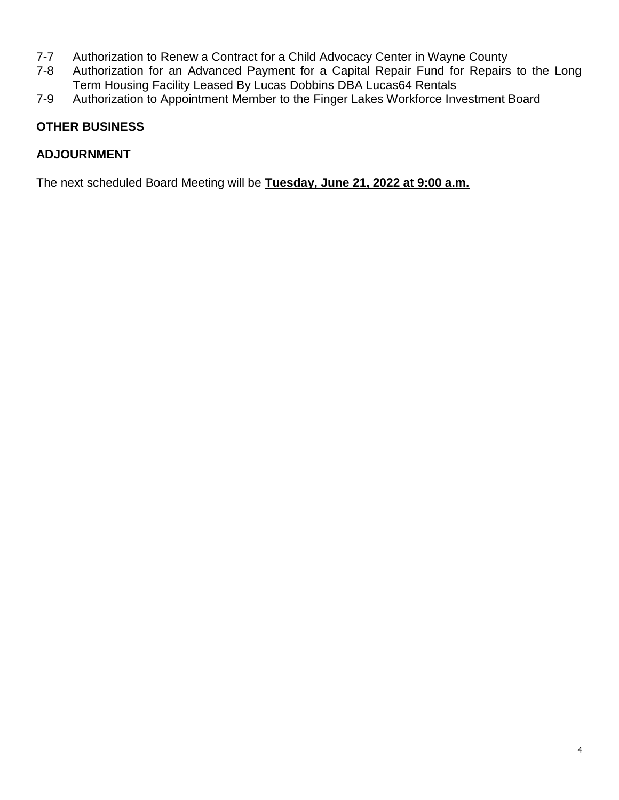- 7-7 Authorization to Renew a Contract for a Child Advocacy Center in Wayne County
- 7-8 Authorization for an Advanced Payment for a Capital Repair Fund for Repairs to the Long Term Housing Facility Leased By Lucas Dobbins DBA Lucas64 Rentals
- 7-9 Authorization to Appointment Member to the Finger Lakes Workforce Investment Board

# **OTHER BUSINESS**

## **ADJOURNMENT**

The next scheduled Board Meeting will be **Tuesday, June 21, 2022 at 9:00 a.m.**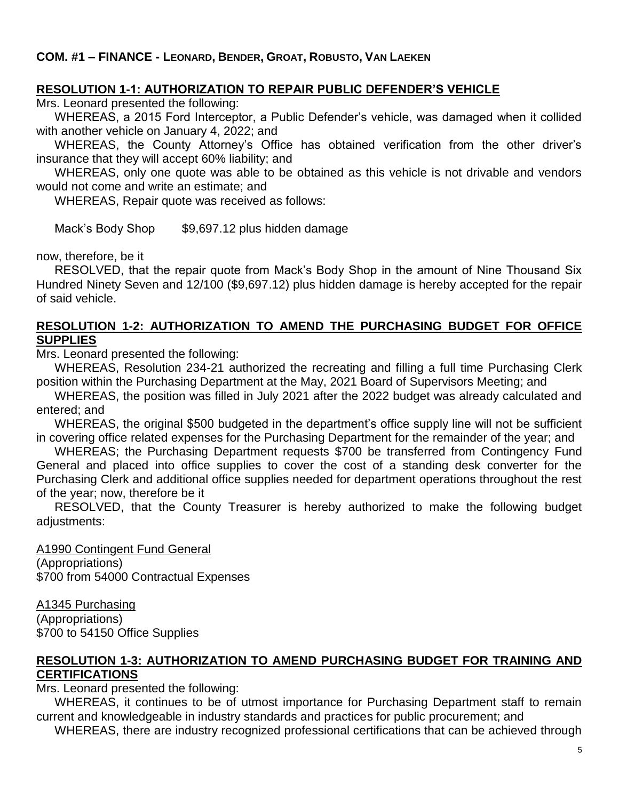## **RESOLUTION 1-1: AUTHORIZATION TO REPAIR PUBLIC DEFENDER'S VEHICLE**

Mrs. Leonard presented the following:

WHEREAS, a 2015 Ford Interceptor, a Public Defender's vehicle, was damaged when it collided with another vehicle on January 4, 2022; and

WHEREAS, the County Attorney's Office has obtained verification from the other driver's insurance that they will accept 60% liability; and

WHEREAS, only one quote was able to be obtained as this vehicle is not drivable and vendors would not come and write an estimate; and

WHEREAS, Repair quote was received as follows:

Mack's Body Shop \$9,697.12 plus hidden damage

now, therefore, be it

RESOLVED, that the repair quote from Mack's Body Shop in the amount of Nine Thousand Six Hundred Ninety Seven and 12/100 (\$9,697.12) plus hidden damage is hereby accepted for the repair of said vehicle.

#### **RESOLUTION 1-2: AUTHORIZATION TO AMEND THE PURCHASING BUDGET FOR OFFICE SUPPLIES**

Mrs. Leonard presented the following:

WHEREAS, Resolution 234-21 authorized the recreating and filling a full time Purchasing Clerk position within the Purchasing Department at the May, 2021 Board of Supervisors Meeting; and

WHEREAS, the position was filled in July 2021 after the 2022 budget was already calculated and entered; and

WHEREAS, the original \$500 budgeted in the department's office supply line will not be sufficient in covering office related expenses for the Purchasing Department for the remainder of the year; and

WHEREAS; the Purchasing Department requests \$700 be transferred from Contingency Fund General and placed into office supplies to cover the cost of a standing desk converter for the Purchasing Clerk and additional office supplies needed for department operations throughout the rest of the year; now, therefore be it

RESOLVED, that the County Treasurer is hereby authorized to make the following budget adjustments:

A1990 Contingent Fund General (Appropriations) \$700 from 54000 Contractual Expenses

A1345 Purchasing (Appropriations) \$700 to 54150 Office Supplies

#### **RESOLUTION 1-3: AUTHORIZATION TO AMEND PURCHASING BUDGET FOR TRAINING AND CERTIFICATIONS**

Mrs. Leonard presented the following:

WHEREAS, it continues to be of utmost importance for Purchasing Department staff to remain current and knowledgeable in industry standards and practices for public procurement; and

WHEREAS, there are industry recognized professional certifications that can be achieved through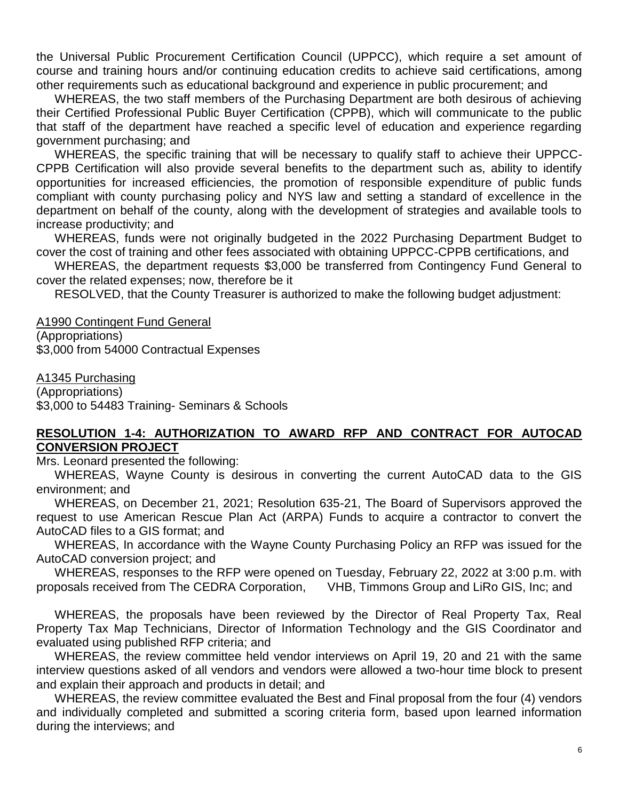the Universal Public Procurement Certification Council (UPPCC), which require a set amount of course and training hours and/or continuing education credits to achieve said certifications, among other requirements such as educational background and experience in public procurement; and

WHEREAS, the two staff members of the Purchasing Department are both desirous of achieving their Certified Professional Public Buyer Certification (CPPB), which will communicate to the public that staff of the department have reached a specific level of education and experience regarding government purchasing; and

WHEREAS, the specific training that will be necessary to qualify staff to achieve their UPPCC-CPPB Certification will also provide several benefits to the department such as, ability to identify opportunities for increased efficiencies, the promotion of responsible expenditure of public funds compliant with county purchasing policy and NYS law and setting a standard of excellence in the department on behalf of the county, along with the development of strategies and available tools to increase productivity; and

WHEREAS, funds were not originally budgeted in the 2022 Purchasing Department Budget to cover the cost of training and other fees associated with obtaining UPPCC-CPPB certifications, and

WHEREAS, the department requests \$3,000 be transferred from Contingency Fund General to cover the related expenses; now, therefore be it

RESOLVED, that the County Treasurer is authorized to make the following budget adjustment:

A1990 Contingent Fund General (Appropriations) \$3,000 from 54000 Contractual Expenses

A1345 Purchasing

(Appropriations) \$3,000 to 54483 Training- Seminars & Schools

#### **RESOLUTION 1-4: AUTHORIZATION TO AWARD RFP AND CONTRACT FOR AUTOCAD CONVERSION PROJECT**

Mrs. Leonard presented the following:

WHEREAS, Wayne County is desirous in converting the current AutoCAD data to the GIS environment; and

WHEREAS, on December 21, 2021; Resolution 635-21, The Board of Supervisors approved the request to use American Rescue Plan Act (ARPA) Funds to acquire a contractor to convert the AutoCAD files to a GIS format; and

WHEREAS, In accordance with the Wayne County Purchasing Policy an RFP was issued for the AutoCAD conversion project; and

WHEREAS, responses to the RFP were opened on Tuesday, February 22, 2022 at 3:00 p.m. with proposals received from The CEDRA Corporation, VHB, Timmons Group and LiRo GIS, Inc; and

WHEREAS, the proposals have been reviewed by the Director of Real Property Tax, Real Property Tax Map Technicians, Director of Information Technology and the GIS Coordinator and evaluated using published RFP criteria; and

WHEREAS, the review committee held vendor interviews on April 19, 20 and 21 with the same interview questions asked of all vendors and vendors were allowed a two-hour time block to present and explain their approach and products in detail; and

WHEREAS, the review committee evaluated the Best and Final proposal from the four (4) vendors and individually completed and submitted a scoring criteria form, based upon learned information during the interviews; and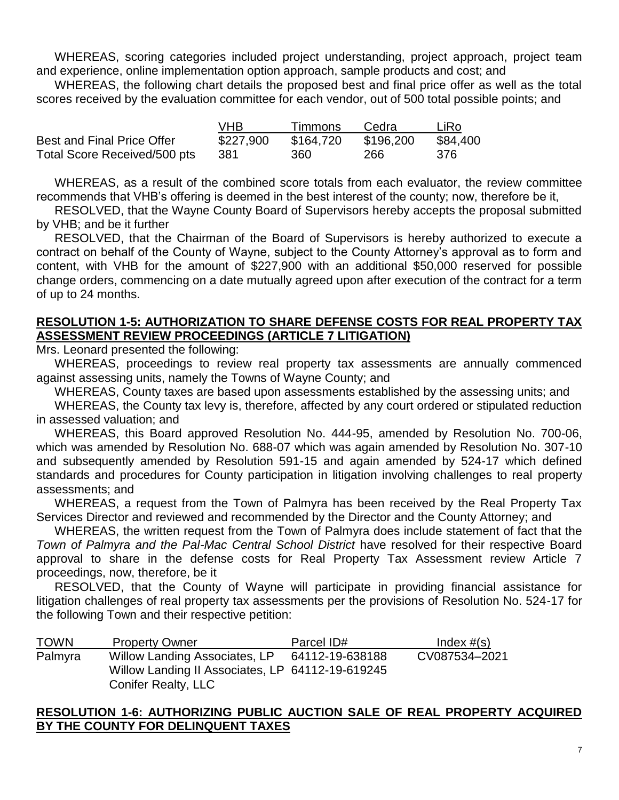WHEREAS, scoring categories included project understanding, project approach, project team and experience, online implementation option approach, sample products and cost; and

WHEREAS, the following chart details the proposed best and final price offer as well as the total scores received by the evaluation committee for each vendor, out of 500 total possible points; and

|                              | VHR.      | Timmons   | Cedra     | LiRo     |
|------------------------------|-----------|-----------|-----------|----------|
| Best and Final Price Offer   | \$227,900 | \$164.720 | \$196,200 | \$84,400 |
| Total Score Received/500 pts | 381       | 360       | 266       | 376      |

WHEREAS, as a result of the combined score totals from each evaluator, the review committee recommends that VHB's offering is deemed in the best interest of the county; now, therefore be it,

RESOLVED, that the Wayne County Board of Supervisors hereby accepts the proposal submitted by VHB; and be it further

RESOLVED, that the Chairman of the Board of Supervisors is hereby authorized to execute a contract on behalf of the County of Wayne, subject to the County Attorney's approval as to form and content, with VHB for the amount of \$227,900 with an additional \$50,000 reserved for possible change orders, commencing on a date mutually agreed upon after execution of the contract for a term of up to 24 months.

## **RESOLUTION 1-5: AUTHORIZATION TO SHARE DEFENSE COSTS FOR REAL PROPERTY TAX ASSESSMENT REVIEW PROCEEDINGS (ARTICLE 7 LITIGATION)**

Mrs. Leonard presented the following:

WHEREAS, proceedings to review real property tax assessments are annually commenced against assessing units, namely the Towns of Wayne County; and

WHEREAS, County taxes are based upon assessments established by the assessing units; and

WHEREAS, the County tax levy is, therefore, affected by any court ordered or stipulated reduction in assessed valuation; and

WHEREAS, this Board approved Resolution No. 444-95, amended by Resolution No. 700-06, which was amended by Resolution No. 688-07 which was again amended by Resolution No. 307-10 and subsequently amended by Resolution 591-15 and again amended by 524-17 which defined standards and procedures for County participation in litigation involving challenges to real property assessments; and

WHEREAS, a request from the Town of Palmyra has been received by the Real Property Tax Services Director and reviewed and recommended by the Director and the County Attorney; and

WHEREAS, the written request from the Town of Palmyra does include statement of fact that the *Town of Palmyra and the Pal-Mac Central School District* have resolved for their respective Board approval to share in the defense costs for Real Property Tax Assessment review Article 7 proceedings, now, therefore, be it

RESOLVED, that the County of Wayne will participate in providing financial assistance for litigation challenges of real property tax assessments per the provisions of Resolution No. 524-17 for the following Town and their respective petition:

| <b>TOWN</b> | <b>Property Owner</b>                            | Parcel ID#      | Index $#(s)$  |
|-------------|--------------------------------------------------|-----------------|---------------|
| Palmyra     | Willow Landing Associates, LP                    | 64112-19-638188 | CV087534-2021 |
|             | Willow Landing II Associates, LP 64112-19-619245 |                 |               |
|             | <b>Conifer Realty, LLC</b>                       |                 |               |

## **RESOLUTION 1-6: AUTHORIZING PUBLIC AUCTION SALE OF REAL PROPERTY ACQUIRED BY THE COUNTY FOR DELINQUENT TAXES**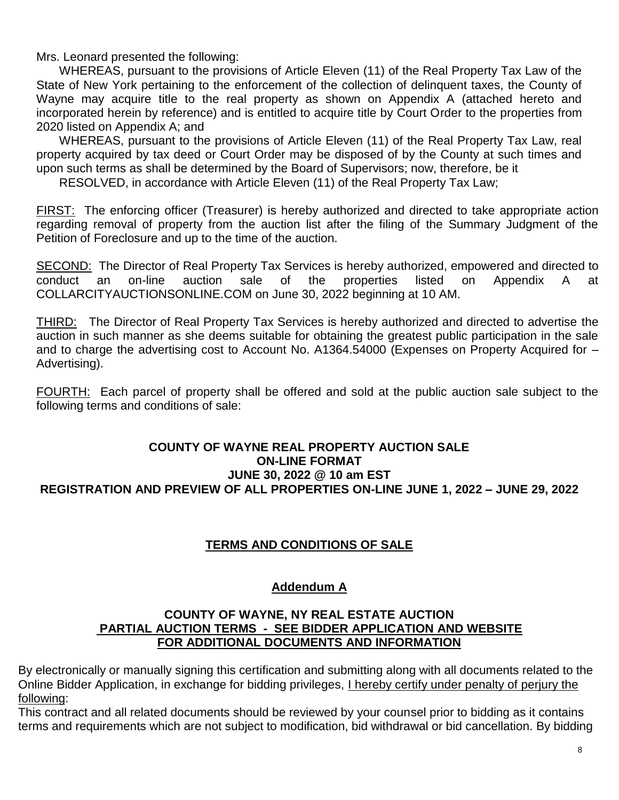Mrs. Leonard presented the following:

WHEREAS, pursuant to the provisions of Article Eleven (11) of the Real Property Tax Law of the State of New York pertaining to the enforcement of the collection of delinquent taxes, the County of Wayne may acquire title to the real property as shown on Appendix A (attached hereto and incorporated herein by reference) and is entitled to acquire title by Court Order to the properties from 2020 listed on Appendix A; and

WHEREAS, pursuant to the provisions of Article Eleven (11) of the Real Property Tax Law, real property acquired by tax deed or Court Order may be disposed of by the County at such times and upon such terms as shall be determined by the Board of Supervisors; now, therefore, be it

RESOLVED, in accordance with Article Eleven (11) of the Real Property Tax Law;

FIRST: The enforcing officer (Treasurer) is hereby authorized and directed to take appropriate action regarding removal of property from the auction list after the filing of the Summary Judgment of the Petition of Foreclosure and up to the time of the auction.

SECOND: The Director of Real Property Tax Services is hereby authorized, empowered and directed to conduct an on-line auction sale of the properties listed on Appendix A at COLLARCITYAUCTIONSONLINE.COM on June 30, 2022 beginning at 10 AM.

THIRD: The Director of Real Property Tax Services is hereby authorized and directed to advertise the auction in such manner as she deems suitable for obtaining the greatest public participation in the sale and to charge the advertising cost to Account No. A1364.54000 (Expenses on Property Acquired for – Advertising).

FOURTH: Each parcel of property shall be offered and sold at the public auction sale subject to the following terms and conditions of sale:

## **COUNTY OF WAYNE REAL PROPERTY AUCTION SALE ON-LINE FORMAT JUNE 30, 2022 @ 10 am EST REGISTRATION AND PREVIEW OF ALL PROPERTIES ON-LINE JUNE 1, 2022 – JUNE 29, 2022**

## **TERMS AND CONDITIONS OF SALE**

## **Addendum A**

#### **COUNTY OF WAYNE, NY REAL ESTATE AUCTION PARTIAL AUCTION TERMS - SEE BIDDER APPLICATION AND WEBSITE FOR ADDITIONAL DOCUMENTS AND INFORMATION**

By electronically or manually signing this certification and submitting along with all documents related to the Online Bidder Application, in exchange for bidding privileges, I hereby certify under penalty of perjury the following:

This contract and all related documents should be reviewed by your counsel prior to bidding as it contains terms and requirements which are not subject to modification, bid withdrawal or bid cancellation. By bidding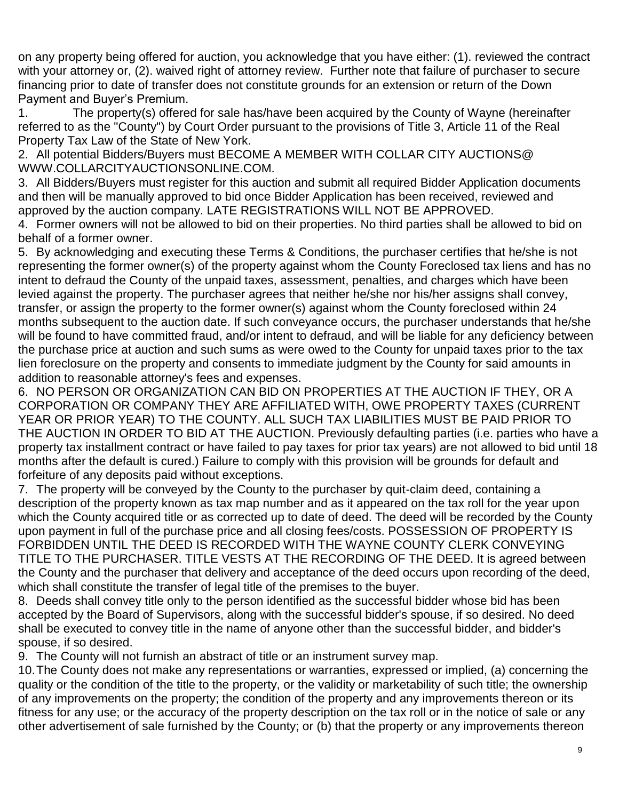on any property being offered for auction, you acknowledge that you have either: (1). reviewed the contract with your attorney or, (2). waived right of attorney review. Further note that failure of purchaser to secure financing prior to date of transfer does not constitute grounds for an extension or return of the Down Payment and Buyer's Premium.

1. The property(s) offered for sale has/have been acquired by the County of Wayne (hereinafter referred to as the "County") by Court Order pursuant to the provisions of Title 3, Article 11 of the Real Property Tax Law of the State of New York.

2. All potential Bidders/Buyers must BECOME A MEMBER WITH COLLAR CITY AUCTIONS@ WWW.COLLARCITYAUCTIONSONLINE.COM.

3. All Bidders/Buyers must register for this auction and submit all required Bidder Application documents and then will be manually approved to bid once Bidder Application has been received, reviewed and approved by the auction company. LATE REGISTRATIONS WILL NOT BE APPROVED.

4. Former owners will not be allowed to bid on their properties. No third parties shall be allowed to bid on behalf of a former owner.

5. By acknowledging and executing these Terms & Conditions, the purchaser certifies that he/she is not representing the former owner(s) of the property against whom the County Foreclosed tax liens and has no intent to defraud the County of the unpaid taxes, assessment, penalties, and charges which have been levied against the property. The purchaser agrees that neither he/she nor his/her assigns shall convey, transfer, or assign the property to the former owner(s) against whom the County foreclosed within 24 months subsequent to the auction date. If such conveyance occurs, the purchaser understands that he/she will be found to have committed fraud, and/or intent to defraud, and will be liable for any deficiency between the purchase price at auction and such sums as were owed to the County for unpaid taxes prior to the tax lien foreclosure on the property and consents to immediate judgment by the County for said amounts in addition to reasonable attorney's fees and expenses.

6. NO PERSON OR ORGANIZATION CAN BID ON PROPERTIES AT THE AUCTION IF THEY, OR A CORPORATION OR COMPANY THEY ARE AFFILIATED WITH, OWE PROPERTY TAXES (CURRENT YEAR OR PRIOR YEAR) TO THE COUNTY. ALL SUCH TAX LIABILITIES MUST BE PAID PRIOR TO THE AUCTION IN ORDER TO BID AT THE AUCTION. Previously defaulting parties (i.e. parties who have a property tax installment contract or have failed to pay taxes for prior tax years) are not allowed to bid until 18 months after the default is cured.) Failure to comply with this provision will be grounds for default and forfeiture of any deposits paid without exceptions.

7. The property will be conveyed by the County to the purchaser by quit-claim deed, containing a description of the property known as tax map number and as it appeared on the tax roll for the year upon which the County acquired title or as corrected up to date of deed. The deed will be recorded by the County upon payment in full of the purchase price and all closing fees/costs. POSSESSION OF PROPERTY IS FORBIDDEN UNTIL THE DEED IS RECORDED WITH THE WAYNE COUNTY CLERK CONVEYING TITLE TO THE PURCHASER. TITLE VESTS AT THE RECORDING OF THE DEED. It is agreed between the County and the purchaser that delivery and acceptance of the deed occurs upon recording of the deed, which shall constitute the transfer of legal title of the premises to the buyer.

8. Deeds shall convey title only to the person identified as the successful bidder whose bid has been accepted by the Board of Supervisors, along with the successful bidder's spouse, if so desired. No deed shall be executed to convey title in the name of anyone other than the successful bidder, and bidder's spouse, if so desired.

9. The County will not furnish an abstract of title or an instrument survey map.

10.The County does not make any representations or warranties, expressed or implied, (a) concerning the quality or the condition of the title to the property, or the validity or marketability of such title; the ownership of any improvements on the property; the condition of the property and any improvements thereon or its fitness for any use; or the accuracy of the property description on the tax roll or in the notice of sale or any other advertisement of sale furnished by the County; or (b) that the property or any improvements thereon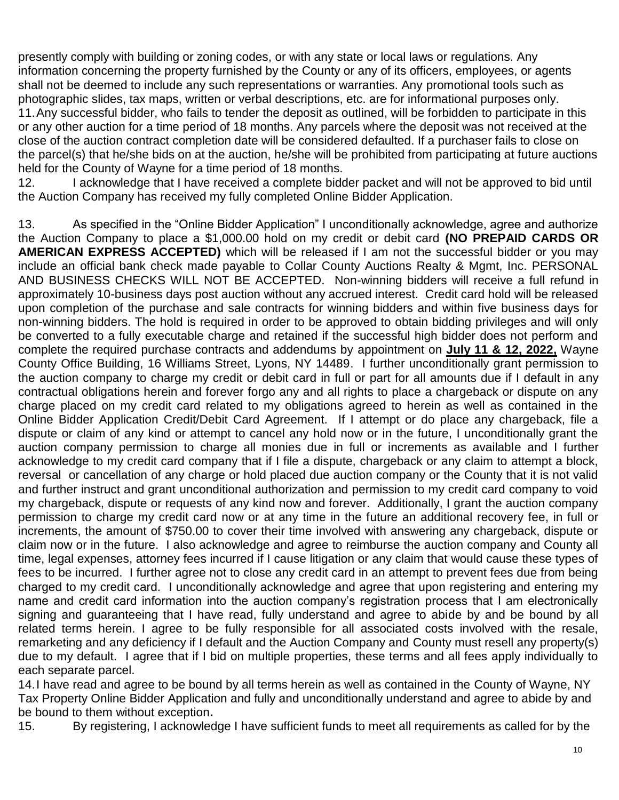presently comply with building or zoning codes, or with any state or local laws or regulations. Any information concerning the property furnished by the County or any of its officers, employees, or agents shall not be deemed to include any such representations or warranties. Any promotional tools such as photographic slides, tax maps, written or verbal descriptions, etc. are for informational purposes only. 11.Any successful bidder, who fails to tender the deposit as outlined, will be forbidden to participate in this or any other auction for a time period of 18 months. Any parcels where the deposit was not received at the close of the auction contract completion date will be considered defaulted. If a purchaser fails to close on the parcel(s) that he/she bids on at the auction, he/she will be prohibited from participating at future auctions held for the County of Wayne for a time period of 18 months.

12. I acknowledge that I have received a complete bidder packet and will not be approved to bid until the Auction Company has received my fully completed Online Bidder Application.

13. As specified in the "Online Bidder Application" I unconditionally acknowledge, agree and authorize the Auction Company to place a \$1,000.00 hold on my credit or debit card **(NO PREPAID CARDS OR AMERICAN EXPRESS ACCEPTED)** which will be released if I am not the successful bidder or you may include an official bank check made payable to Collar County Auctions Realty & Mgmt, Inc. PERSONAL AND BUSINESS CHECKS WILL NOT BE ACCEPTED. Non-winning bidders will receive a full refund in approximately 10-business days post auction without any accrued interest. Credit card hold will be released upon completion of the purchase and sale contracts for winning bidders and within five business days for non-winning bidders. The hold is required in order to be approved to obtain bidding privileges and will only be converted to a fully executable charge and retained if the successful high bidder does not perform and complete the required purchase contracts and addendums by appointment on **July 11 & 12, 2022,** Wayne County Office Building, 16 Williams Street, Lyons, NY 14489. I further unconditionally grant permission to the auction company to charge my credit or debit card in full or part for all amounts due if I default in any contractual obligations herein and forever forgo any and all rights to place a chargeback or dispute on any charge placed on my credit card related to my obligations agreed to herein as well as contained in the Online Bidder Application Credit/Debit Card Agreement. If I attempt or do place any chargeback, file a dispute or claim of any kind or attempt to cancel any hold now or in the future, I unconditionally grant the auction company permission to charge all monies due in full or increments as available and I further acknowledge to my credit card company that if I file a dispute, chargeback or any claim to attempt a block, reversal or cancellation of any charge or hold placed due auction company or the County that it is not valid and further instruct and grant unconditional authorization and permission to my credit card company to void my chargeback, dispute or requests of any kind now and forever. Additionally, I grant the auction company permission to charge my credit card now or at any time in the future an additional recovery fee, in full or increments, the amount of \$750.00 to cover their time involved with answering any chargeback, dispute or claim now or in the future. I also acknowledge and agree to reimburse the auction company and County all time, legal expenses, attorney fees incurred if I cause litigation or any claim that would cause these types of fees to be incurred. I further agree not to close any credit card in an attempt to prevent fees due from being charged to my credit card. I unconditionally acknowledge and agree that upon registering and entering my name and credit card information into the auction company's registration process that I am electronically signing and guaranteeing that I have read, fully understand and agree to abide by and be bound by all related terms herein. I agree to be fully responsible for all associated costs involved with the resale, remarketing and any deficiency if I default and the Auction Company and County must resell any property(s) due to my default. I agree that if I bid on multiple properties, these terms and all fees apply individually to each separate parcel.

14.I have read and agree to be bound by all terms herein as well as contained in the County of Wayne, NY Tax Property Online Bidder Application and fully and unconditionally understand and agree to abide by and be bound to them without exception**.**

15. By registering, I acknowledge I have sufficient funds to meet all requirements as called for by the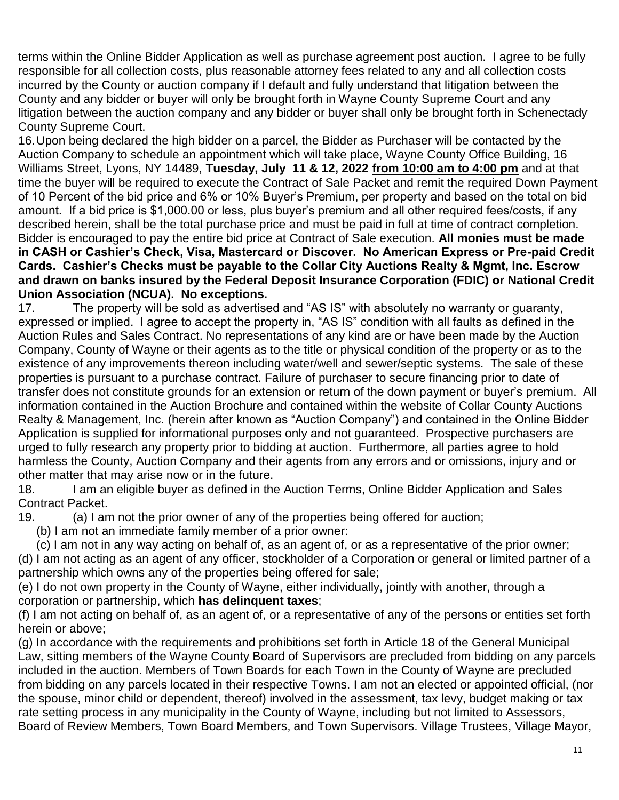terms within the Online Bidder Application as well as purchase agreement post auction. I agree to be fully responsible for all collection costs, plus reasonable attorney fees related to any and all collection costs incurred by the County or auction company if I default and fully understand that litigation between the County and any bidder or buyer will only be brought forth in Wayne County Supreme Court and any litigation between the auction company and any bidder or buyer shall only be brought forth in Schenectady County Supreme Court.

16.Upon being declared the high bidder on a parcel, the Bidder as Purchaser will be contacted by the Auction Company to schedule an appointment which will take place, Wayne County Office Building, 16 Williams Street, Lyons, NY 14489, **Tuesday, July 11 & 12, 2022 from 10:00 am to 4:00 pm** and at that time the buyer will be required to execute the Contract of Sale Packet and remit the required Down Payment of 10 Percent of the bid price and 6% or 10% Buyer's Premium, per property and based on the total on bid amount. If a bid price is \$1,000.00 or less, plus buyer's premium and all other required fees/costs, if any described herein, shall be the total purchase price and must be paid in full at time of contract completion. Bidder is encouraged to pay the entire bid price at Contract of Sale execution. **All monies must be made in CASH or Cashier's Check, Visa, Mastercard or Discover. No American Express or Pre-paid Credit Cards. Cashier's Checks must be payable to the Collar City Auctions Realty & Mgmt, Inc. Escrow and drawn on banks insured by the Federal Deposit Insurance Corporation (FDIC) or National Credit Union Association (NCUA). No exceptions.** 

17. The property will be sold as advertised and "AS IS" with absolutely no warranty or guaranty, expressed or implied. I agree to accept the property in, "AS IS" condition with all faults as defined in the Auction Rules and Sales Contract. No representations of any kind are or have been made by the Auction Company, County of Wayne or their agents as to the title or physical condition of the property or as to the existence of any improvements thereon including water/well and sewer/septic systems. The sale of these properties is pursuant to a purchase contract. Failure of purchaser to secure financing prior to date of transfer does not constitute grounds for an extension or return of the down payment or buyer's premium. All information contained in the Auction Brochure and contained within the website of Collar County Auctions Realty & Management, Inc. (herein after known as "Auction Company") and contained in the Online Bidder Application is supplied for informational purposes only and not guaranteed. Prospective purchasers are urged to fully research any property prior to bidding at auction. Furthermore, all parties agree to hold harmless the County, Auction Company and their agents from any errors and or omissions, injury and or other matter that may arise now or in the future.

18. I am an eligible buyer as defined in the Auction Terms, Online Bidder Application and Sales Contract Packet.

19. (a) I am not the prior owner of any of the properties being offered for auction;

(b) I am not an immediate family member of a prior owner:

(c) I am not in any way acting on behalf of, as an agent of, or as a representative of the prior owner; (d) I am not acting as an agent of any officer, stockholder of a Corporation or general or limited partner of a partnership which owns any of the properties being offered for sale;

(e) I do not own property in the County of Wayne, either individually, jointly with another, through a corporation or partnership, which **has delinquent taxes**;

(f) I am not acting on behalf of, as an agent of, or a representative of any of the persons or entities set forth herein or above;

(g) In accordance with the requirements and prohibitions set forth in Article 18 of the General Municipal Law, sitting members of the Wayne County Board of Supervisors are precluded from bidding on any parcels included in the auction. Members of Town Boards for each Town in the County of Wayne are precluded from bidding on any parcels located in their respective Towns. I am not an elected or appointed official, (nor the spouse, minor child or dependent, thereof) involved in the assessment, tax levy, budget making or tax rate setting process in any municipality in the County of Wayne, including but not limited to Assessors, Board of Review Members, Town Board Members, and Town Supervisors. Village Trustees, Village Mayor,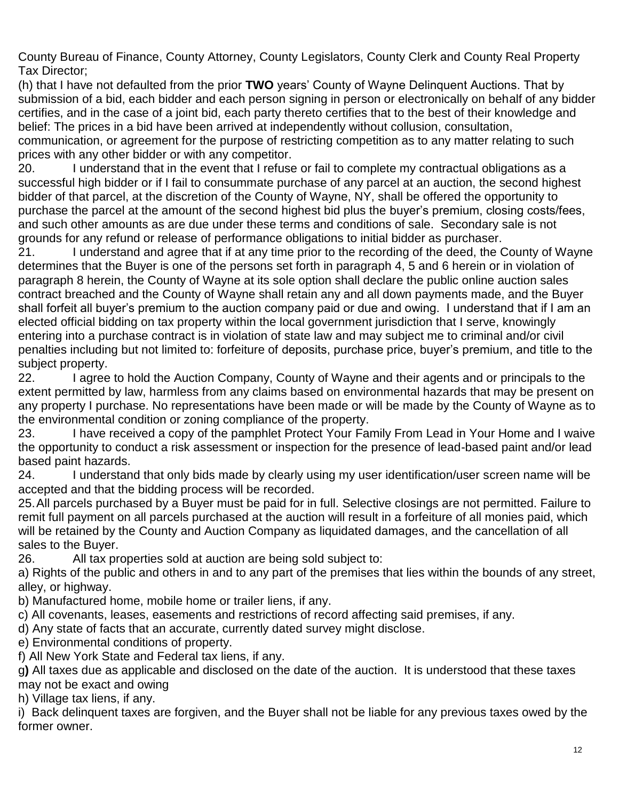County Bureau of Finance, County Attorney, County Legislators, County Clerk and County Real Property Tax Director;

(h) that I have not defaulted from the prior **TWO** years' County of Wayne Delinquent Auctions. That by submission of a bid, each bidder and each person signing in person or electronically on behalf of any bidder certifies, and in the case of a joint bid, each party thereto certifies that to the best of their knowledge and belief: The prices in a bid have been arrived at independently without collusion, consultation, communication, or agreement for the purpose of restricting competition as to any matter relating to such prices with any other bidder or with any competitor.

20. I understand that in the event that I refuse or fail to complete my contractual obligations as a successful high bidder or if I fail to consummate purchase of any parcel at an auction, the second highest bidder of that parcel, at the discretion of the County of Wayne, NY, shall be offered the opportunity to purchase the parcel at the amount of the second highest bid plus the buyer's premium, closing costs/fees, and such other amounts as are due under these terms and conditions of sale. Secondary sale is not grounds for any refund or release of performance obligations to initial bidder as purchaser.

21. I understand and agree that if at any time prior to the recording of the deed, the County of Wayne determines that the Buyer is one of the persons set forth in paragraph 4, 5 and 6 herein or in violation of paragraph 8 herein, the County of Wayne at its sole option shall declare the public online auction sales contract breached and the County of Wayne shall retain any and all down payments made, and the Buyer shall forfeit all buyer's premium to the auction company paid or due and owing. I understand that if I am an elected official bidding on tax property within the local government jurisdiction that I serve, knowingly entering into a purchase contract is in violation of state law and may subject me to criminal and/or civil penalties including but not limited to: forfeiture of deposits, purchase price, buyer's premium, and title to the subject property.

22. I agree to hold the Auction Company, County of Wayne and their agents and or principals to the extent permitted by law, harmless from any claims based on environmental hazards that may be present on any property I purchase. No representations have been made or will be made by the County of Wayne as to the environmental condition or zoning compliance of the property.

23. I have received a copy of the pamphlet Protect Your Family From Lead in Your Home and I waive the opportunity to conduct a risk assessment or inspection for the presence of lead-based paint and/or lead based paint hazards.

24. I understand that only bids made by clearly using my user identification/user screen name will be accepted and that the bidding process will be recorded.

25.All parcels purchased by a Buyer must be paid for in full. Selective closings are not permitted. Failure to remit full payment on all parcels purchased at the auction will result in a forfeiture of all monies paid, which will be retained by the County and Auction Company as liquidated damages, and the cancellation of all sales to the Buyer.

26. All tax properties sold at auction are being sold subject to:

a) Rights of the public and others in and to any part of the premises that lies within the bounds of any street, alley, or highway.

b) Manufactured home, mobile home or trailer liens, if any.

c) All covenants, leases, easements and restrictions of record affecting said premises, if any.

d) Any state of facts that an accurate, currently dated survey might disclose.

e) Environmental conditions of property.

f) All New York State and Federal tax liens, if any.

g**)** All taxes due as applicable and disclosed on the date of the auction. It is understood that these taxes may not be exact and owing

h) Village tax liens, if any.

i) Back delinquent taxes are forgiven, and the Buyer shall not be liable for any previous taxes owed by the former owner.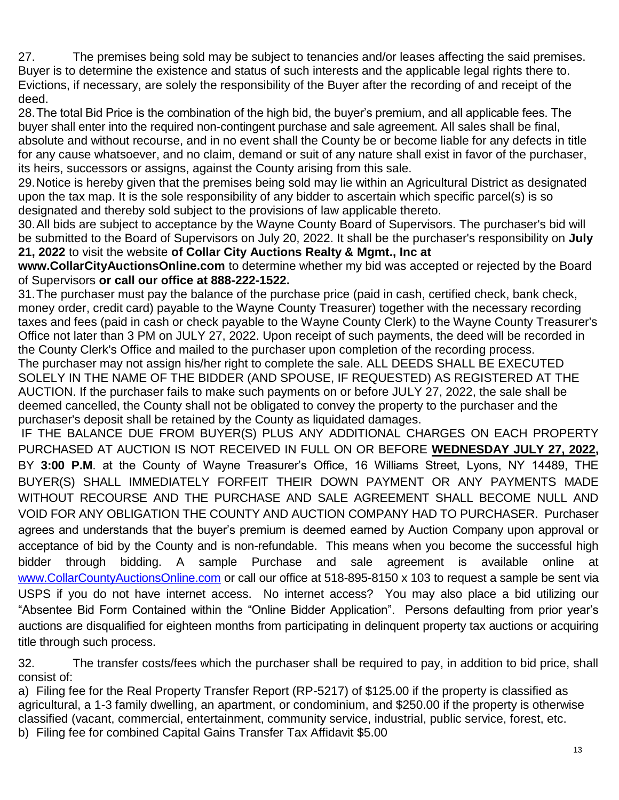27. The premises being sold may be subject to tenancies and/or leases affecting the said premises. Buyer is to determine the existence and status of such interests and the applicable legal rights there to. Evictions, if necessary, are solely the responsibility of the Buyer after the recording of and receipt of the deed.

28.The total Bid Price is the combination of the high bid, the buyer's premium, and all applicable fees. The buyer shall enter into the required non-contingent purchase and sale agreement. All sales shall be final, absolute and without recourse, and in no event shall the County be or become liable for any defects in title for any cause whatsoever, and no claim, demand or suit of any nature shall exist in favor of the purchaser, its heirs, successors or assigns, against the County arising from this sale.

29.Notice is hereby given that the premises being sold may lie within an Agricultural District as designated upon the tax map. It is the sole responsibility of any bidder to ascertain which specific parcel(s) is so designated and thereby sold subject to the provisions of law applicable thereto.

30.All bids are subject to acceptance by the Wayne County Board of Supervisors. The purchaser's bid will be submitted to the Board of Supervisors on July 20, 2022. It shall be the purchaser's responsibility on **July 21, 2022** to visit the website **of Collar City Auctions Realty & Mgmt., Inc at** 

**www.CollarCityAuctionsOnline.com** to determine whether my bid was accepted or rejected by the Board of Supervisors **or call our office at 888-222-1522.**

31.The purchaser must pay the balance of the purchase price (paid in cash, certified check, bank check, money order, credit card) payable to the Wayne County Treasurer) together with the necessary recording taxes and fees (paid in cash or check payable to the Wayne County Clerk) to the Wayne County Treasurer's Office not later than 3 PM on JULY 27, 2022. Upon receipt of such payments, the deed will be recorded in the County Clerk's Office and mailed to the purchaser upon completion of the recording process. The purchaser may not assign his/her right to complete the sale. ALL DEEDS SHALL BE EXECUTED SOLELY IN THE NAME OF THE BIDDER (AND SPOUSE, IF REQUESTED) AS REGISTERED AT THE AUCTION. If the purchaser fails to make such payments on or before JULY 27, 2022, the sale shall be deemed cancelled, the County shall not be obligated to convey the property to the purchaser and the purchaser's deposit shall be retained by the County as liquidated damages.

IF THE BALANCE DUE FROM BUYER(S) PLUS ANY ADDITIONAL CHARGES ON EACH PROPERTY PURCHASED AT AUCTION IS NOT RECEIVED IN FULL ON OR BEFORE **WEDNESDAY JULY 27, 2022,** BY **3:00 P.M**. at the County of Wayne Treasurer's Office, 16 Williams Street, Lyons, NY 14489, THE BUYER(S) SHALL IMMEDIATELY FORFEIT THEIR DOWN PAYMENT OR ANY PAYMENTS MADE WITHOUT RECOURSE AND THE PURCHASE AND SALE AGREEMENT SHALL BECOME NULL AND VOID FOR ANY OBLIGATION THE COUNTY AND AUCTION COMPANY HAD TO PURCHASER. Purchaser agrees and understands that the buyer's premium is deemed earned by Auction Company upon approval or acceptance of bid by the County and is non-refundable. This means when you become the successful high bidder through bidding. A sample Purchase and sale agreement is available online at [www.CollarCountyAuctionsOnline.com](http://www.collarcityauctionsonline.com/) or call our office at 518-895-8150 x 103 to request a sample be sent via USPS if you do not have internet access. No internet access? You may also place a bid utilizing our "Absentee Bid Form Contained within the "Online Bidder Application". Persons defaulting from prior year's auctions are disqualified for eighteen months from participating in delinquent property tax auctions or acquiring title through such process.

32. The transfer costs/fees which the purchaser shall be required to pay, in addition to bid price, shall consist of:

a) Filing fee for the Real Property Transfer Report (RP-5217) of \$125.00 if the property is classified as agricultural, a 1-3 family dwelling, an apartment, or condominium, and \$250.00 if the property is otherwise classified (vacant, commercial, entertainment, community service, industrial, public service, forest, etc. b) Filing fee for combined Capital Gains Transfer Tax Affidavit \$5.00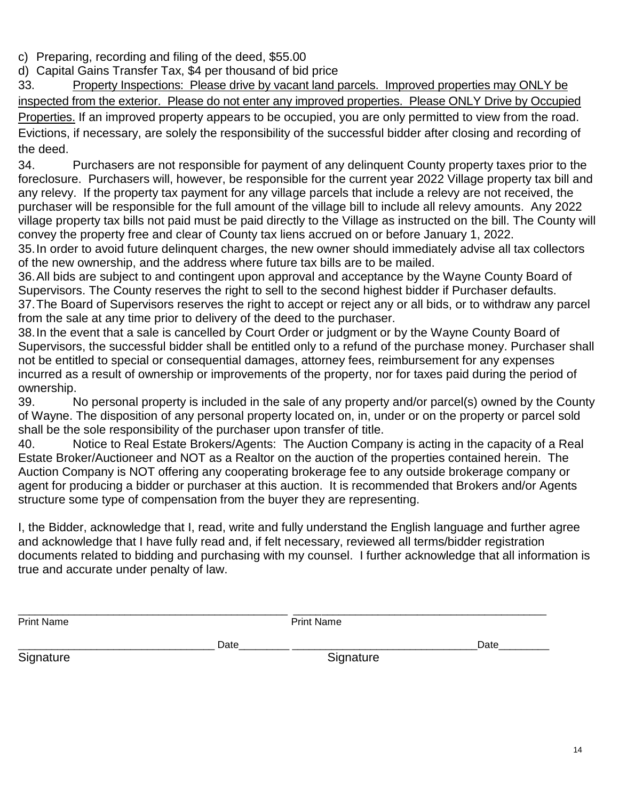c) Preparing, recording and filing of the deed, \$55.00

d) Capital Gains Transfer Tax, \$4 per thousand of bid price

33. Property Inspections: Please drive by vacant land parcels. Improved properties may ONLY be inspected from the exterior. Please do not enter any improved properties. Please ONLY Drive by Occupied Properties. If an improved property appears to be occupied, you are only permitted to view from the road. Evictions, if necessary, are solely the responsibility of the successful bidder after closing and recording of the deed.

34. Purchasers are not responsible for payment of any delinquent County property taxes prior to the foreclosure. Purchasers will, however, be responsible for the current year 2022 Village property tax bill and any relevy. If the property tax payment for any village parcels that include a relevy are not received, the purchaser will be responsible for the full amount of the village bill to include all relevy amounts. Any 2022 village property tax bills not paid must be paid directly to the Village as instructed on the bill. The County will convey the property free and clear of County tax liens accrued on or before January 1, 2022.

35.In order to avoid future delinquent charges, the new owner should immediately advise all tax collectors of the new ownership, and the address where future tax bills are to be mailed.

36.All bids are subject to and contingent upon approval and acceptance by the Wayne County Board of Supervisors. The County reserves the right to sell to the second highest bidder if Purchaser defaults. 37.The Board of Supervisors reserves the right to accept or reject any or all bids, or to withdraw any parcel from the sale at any time prior to delivery of the deed to the purchaser.

38.In the event that a sale is cancelled by Court Order or judgment or by the Wayne County Board of Supervisors, the successful bidder shall be entitled only to a refund of the purchase money. Purchaser shall not be entitled to special or consequential damages, attorney fees, reimbursement for any expenses incurred as a result of ownership or improvements of the property, nor for taxes paid during the period of ownership.

39. No personal property is included in the sale of any property and/or parcel(s) owned by the County of Wayne. The disposition of any personal property located on, in, under or on the property or parcel sold shall be the sole responsibility of the purchaser upon transfer of title.

40. Notice to Real Estate Brokers/Agents: The Auction Company is acting in the capacity of a Real Estate Broker/Auctioneer and NOT as a Realtor on the auction of the properties contained herein. The Auction Company is NOT offering any cooperating brokerage fee to any outside brokerage company or agent for producing a bidder or purchaser at this auction. It is recommended that Brokers and/or Agents structure some type of compensation from the buyer they are representing.

I, the Bidder, acknowledge that I, read, write and fully understand the English language and further agree and acknowledge that I have fully read and, if felt necessary, reviewed all terms/bidder registration documents related to bidding and purchasing with my counsel. I further acknowledge that all information is true and accurate under penalty of law.

| <b>Print Name</b> | <b>Print Name</b> |      |
|-------------------|-------------------|------|
| Signature         | Date<br>Signature | Date |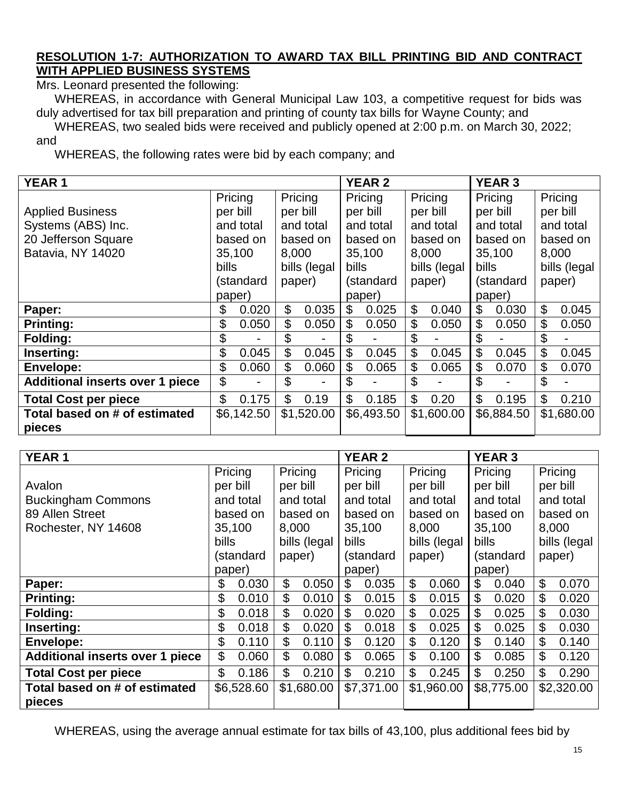## **RESOLUTION 1-7: AUTHORIZATION TO AWARD TAX BILL PRINTING BID AND CONTRACT WITH APPLIED BUSINESS SYSTEMS**

Mrs. Leonard presented the following:

WHEREAS, in accordance with General Municipal Law 103, a competitive request for bids was duly advertised for tax bill preparation and printing of county tax bills for Wayne County; and

WHEREAS, two sealed bids were received and publicly opened at 2:00 p.m. on March 30, 2022;

and

WHEREAS, the following rates were bid by each company; and

| <b>YEAR1</b>                            |                     |            |           |              | <b>YEAR 2</b><br><b>YEAR 3</b> |            |           |              |                |            |         |              |  |
|-----------------------------------------|---------------------|------------|-----------|--------------|--------------------------------|------------|-----------|--------------|----------------|------------|---------|--------------|--|
|                                         | Pricing             |            |           | Pricing      |                                | Pricing    | Pricing   |              | Pricing        |            | Pricing |              |  |
| <b>Applied Business</b>                 |                     | per bill   | per bill  |              |                                | per bill   |           | per bill     | per bill       |            |         | per bill     |  |
| Systems (ABS) Inc.                      |                     | and total  |           | and total    |                                | and total  |           | and total    |                | and total  |         | and total    |  |
| 20 Jefferson Square                     |                     | based on   |           | based on     |                                | based on   |           | based on     |                | based on   |         | based on     |  |
| Batavia, NY 14020                       |                     | 35,100     | 8,000     |              |                                | 35,100     |           | 8,000        |                | 35,100     |         | 8,000        |  |
|                                         | <b>bills</b>        |            |           | bills (legal | <b>bills</b>                   |            |           | bills (legal | <b>bills</b>   |            |         | bills (legal |  |
|                                         | (standard<br>paper) |            | (standard |              | paper)                         |            | (standard |              |                | paper)     |         |              |  |
|                                         | paper)              |            |           |              | paper)                         |            |           | paper)       |                |            |         |              |  |
| Paper:                                  | \$                  | 0.020      | \$        | 0.035        | \$                             | 0.025      | \$        | 0.040        | \$             | 0.030      | \$      | 0.045        |  |
| <b>Printing:</b>                        | \$                  | 0.050      | \$        | 0.050        | \$                             | 0.050      | \$        | 0.050        | \$             | 0.050      | \$      | 0.050        |  |
| Folding:                                | \$                  |            | \$        |              | \$                             |            | \$        |              | \$             |            | \$      |              |  |
| Inserting:                              | \$                  | 0.045      | \$        | 0.045        | \$                             | 0.045      | \$        | 0.045        | $\mathfrak{L}$ | 0.045      | \$      | 0.045        |  |
| <b>Envelope:</b>                        | \$                  | 0.060      | \$        | 0.060        | \$                             | 0.065      | \$        | 0.065        | \$             | 0.070      | \$      | 0.070        |  |
| <b>Additional inserts over 1 piece</b>  | \$                  |            | \$        |              | \$                             |            | \$        |              | $\mathfrak{L}$ |            | \$      |              |  |
| <b>Total Cost per piece</b>             | \$                  | 0.175      | \$        | 0.19         | \$                             | 0.185      | \$        | 0.20         | $\mathfrak{L}$ | 0.195      | \$      | 0.210        |  |
| Total based on # of estimated<br>pieces |                     | \$6,142.50 |           | \$1,520.00   |                                | \$6,493.50 |           | \$1,600.00   |                | \$6,884.50 |         | \$1,680.00   |  |

| <b>YEAR1</b>                           |                     |           |                     |              | <b>YEAR 2</b><br><b>YEAR 3</b> |           |            |              |              |           |            |              |
|----------------------------------------|---------------------|-----------|---------------------|--------------|--------------------------------|-----------|------------|--------------|--------------|-----------|------------|--------------|
|                                        |                     | Pricing   |                     | Pricing      |                                | Pricing   |            | Pricing      |              | Pricing   |            | Pricing      |
| Avalon                                 |                     | per bill  |                     | per bill     |                                | per bill  |            | per bill     | per bill     |           | per bill   |              |
| <b>Buckingham Commons</b>              |                     | and total |                     | and total    |                                | and total |            | and total    |              | and total |            | and total    |
| 89 Allen Street                        |                     | based on  |                     | based on     |                                | based on  |            | based on     |              | based on  |            | based on     |
| Rochester, NY 14608                    |                     | 35,100    | 8,000               |              |                                | 35,100    |            | 8,000        |              | 35,100    |            | 8,000        |
|                                        | <b>bills</b>        |           |                     | bills (legal | bills                          |           |            | bills (legal | <b>bills</b> |           |            | bills (legal |
|                                        | (standard<br>paper) |           | (standard<br>paper) |              | (standard                      |           | paper)     |              |              |           |            |              |
|                                        | paper)              |           |                     | paper)       |                                | paper)    |            |              |              |           |            |              |
| Paper:                                 | \$                  | 0.030     | \$                  | 0.050        | \$                             | 0.035     | \$         | 0.060        | \$           | 0.040     | \$         | 0.070        |
| <b>Printing:</b>                       | \$                  | 0.010     | \$                  | 0.010        | \$                             | 0.015     | \$         | 0.015        | \$           | 0.020     | \$         | 0.020        |
| Folding:                               | \$                  | 0.018     | \$                  | 0.020        | \$                             | 0.020     | \$         | 0.025        | \$           | 0.025     | \$         | 0.030        |
| Inserting:                             | \$                  | 0.018     | \$                  | 0.020        | \$                             | 0.018     | \$         | 0.025        | \$           | 0.025     | \$         | 0.030        |
| <b>Envelope:</b>                       | \$                  | 0.110     | \$                  | 0.110        | \$                             | 0.120     | \$         | 0.120        | \$           | 0.140     | \$         | 0.140        |
| <b>Additional inserts over 1 piece</b> | \$                  | 0.060     | \$                  | 0.080        | \$                             | 0.065     | \$         | 0.100        | \$           | 0.085     | \$         | 0.120        |
| <b>Total Cost per piece</b>            | \$                  | 0.186     | \$                  | 0.210        | \$                             | 0.210     | \$         | 0.245        | \$           | 0.250     | \$         | 0.290        |
| Total based on # of estimated          | \$6,528.60          |           |                     | \$1,680.00   | \$7,371.00                     |           | \$1,960.00 |              | \$8,775.00   |           | \$2,320.00 |              |
| pieces                                 |                     |           |                     |              |                                |           |            |              |              |           |            |              |

WHEREAS, using the average annual estimate for tax bills of 43,100, plus additional fees bid by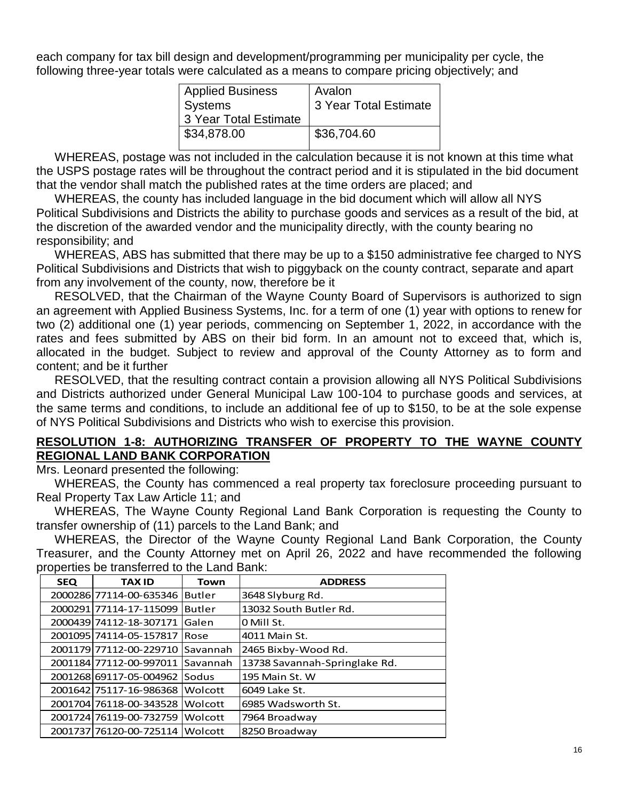each company for tax bill design and development/programming per municipality per cycle, the following three-year totals were calculated as a means to compare pricing objectively; and

| <b>Applied Business</b> | Avalon                |
|-------------------------|-----------------------|
| <b>Systems</b>          | 3 Year Total Estimate |
| 3 Year Total Estimate   |                       |
| \$34,878.00             | \$36,704.60           |
|                         |                       |

WHEREAS, postage was not included in the calculation because it is not known at this time what the USPS postage rates will be throughout the contract period and it is stipulated in the bid document that the vendor shall match the published rates at the time orders are placed; and

WHEREAS, the county has included language in the bid document which will allow all NYS Political Subdivisions and Districts the ability to purchase goods and services as a result of the bid, at the discretion of the awarded vendor and the municipality directly, with the county bearing no responsibility; and

WHEREAS, ABS has submitted that there may be up to a \$150 administrative fee charged to NYS Political Subdivisions and Districts that wish to piggyback on the county contract, separate and apart from any involvement of the county, now, therefore be it

RESOLVED, that the Chairman of the Wayne County Board of Supervisors is authorized to sign an agreement with Applied Business Systems, Inc. for a term of one (1) year with options to renew for two (2) additional one (1) year periods, commencing on September 1, 2022, in accordance with the rates and fees submitted by ABS on their bid form. In an amount not to exceed that, which is, allocated in the budget. Subject to review and approval of the County Attorney as to form and content; and be it further

RESOLVED, that the resulting contract contain a provision allowing all NYS Political Subdivisions and Districts authorized under General Municipal Law 100-104 to purchase goods and services, at the same terms and conditions, to include an additional fee of up to \$150, to be at the sole expense of NYS Political Subdivisions and Districts who wish to exercise this provision.

#### **RESOLUTION 1-8: AUTHORIZING TRANSFER OF PROPERTY TO THE WAYNE COUNTY REGIONAL LAND BANK CORPORATION**

Mrs. Leonard presented the following:

WHEREAS, the County has commenced a real property tax foreclosure proceeding pursuant to Real Property Tax Law Article 11; and

WHEREAS, The Wayne County Regional Land Bank Corporation is requesting the County to transfer ownership of (11) parcels to the Land Bank; and

WHEREAS, the Director of the Wayne County Regional Land Bank Corporation, the County Treasurer, and the County Attorney met on April 26, 2022 and have recommended the following properties be transferred to the Land Bank:

| <b>SEQ</b> | <b>TAX ID</b>           | <b>Town</b>   | <b>ADDRESS</b>                |
|------------|-------------------------|---------------|-------------------------------|
|            | 2000286177114-00-635346 | <b>Butler</b> | 3648 Slyburg Rd.              |
|            | 2000291 77114-17-115099 | <b>Butler</b> | 13032 South Butler Rd.        |
|            | 2000439174112-18-307171 | Galen         | 0 Mill St.                    |
|            | 2001095174114-05-157817 | Rose          | 4011 Main St.                 |
|            | 2001179 77112-00-229710 | Savannah      | 2465 Bixby-Wood Rd.           |
|            | 2001184 77112-00-997011 | Savannah      | 13738 Savannah-Springlake Rd. |
|            | 2001268169117-05-004962 | Sodus         | 195 Main St. W                |
|            | 2001642175117-16-986368 | Wolcott       | 6049 Lake St.                 |
|            | 2001704 76118-00-343528 | Wolcott       | 6985 Wadsworth St.            |
|            | 2001724 76119-00-732759 | Wolcott       | 7964 Broadway                 |
|            | 2001737 76120-00-725114 | Wolcott       | 8250 Broadway                 |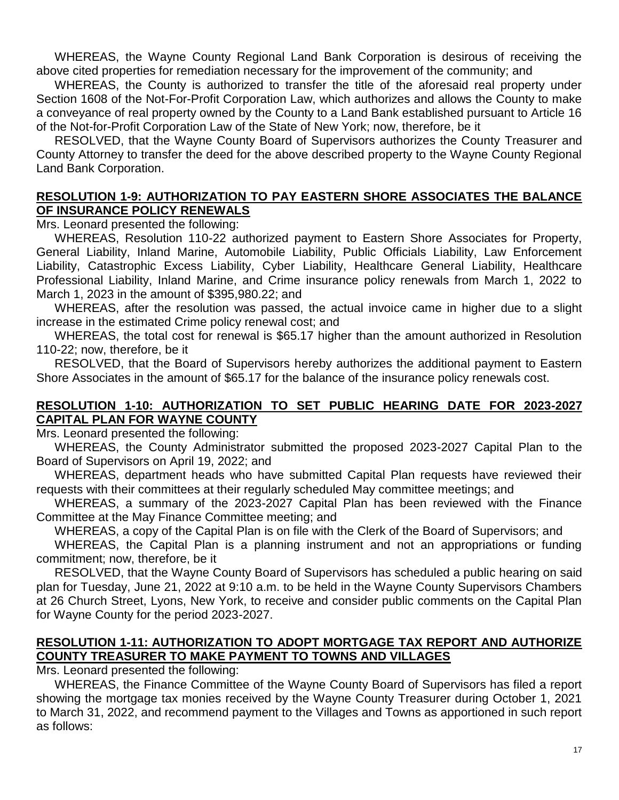WHEREAS, the Wayne County Regional Land Bank Corporation is desirous of receiving the above cited properties for remediation necessary for the improvement of the community; and

WHEREAS, the County is authorized to transfer the title of the aforesaid real property under Section 1608 of the Not-For-Profit Corporation Law, which authorizes and allows the County to make a conveyance of real property owned by the County to a Land Bank established pursuant to Article 16 of the Not-for-Profit Corporation Law of the State of New York; now, therefore, be it

RESOLVED, that the Wayne County Board of Supervisors authorizes the County Treasurer and County Attorney to transfer the deed for the above described property to the Wayne County Regional Land Bank Corporation.

#### **RESOLUTION 1-9: AUTHORIZATION TO PAY EASTERN SHORE ASSOCIATES THE BALANCE OF INSURANCE POLICY RENEWALS**

Mrs. Leonard presented the following:

WHEREAS, Resolution 110-22 authorized payment to Eastern Shore Associates for Property, General Liability, Inland Marine, Automobile Liability, Public Officials Liability, Law Enforcement Liability, Catastrophic Excess Liability, Cyber Liability, Healthcare General Liability, Healthcare Professional Liability, Inland Marine, and Crime insurance policy renewals from March 1, 2022 to March 1, 2023 in the amount of \$395,980.22; and

WHEREAS, after the resolution was passed, the actual invoice came in higher due to a slight increase in the estimated Crime policy renewal cost; and

WHEREAS, the total cost for renewal is \$65.17 higher than the amount authorized in Resolution 110-22; now, therefore, be it

RESOLVED, that the Board of Supervisors hereby authorizes the additional payment to Eastern Shore Associates in the amount of \$65.17 for the balance of the insurance policy renewals cost.

## **RESOLUTION 1-10: AUTHORIZATION TO SET PUBLIC HEARING DATE FOR 2023-2027 CAPITAL PLAN FOR WAYNE COUNTY**

Mrs. Leonard presented the following:

WHEREAS, the County Administrator submitted the proposed 2023-2027 Capital Plan to the Board of Supervisors on April 19, 2022; and

WHEREAS, department heads who have submitted Capital Plan requests have reviewed their requests with their committees at their regularly scheduled May committee meetings; and

WHEREAS, a summary of the 2023-2027 Capital Plan has been reviewed with the Finance Committee at the May Finance Committee meeting; and

WHEREAS, a copy of the Capital Plan is on file with the Clerk of the Board of Supervisors; and

WHEREAS, the Capital Plan is a planning instrument and not an appropriations or funding commitment; now, therefore, be it

RESOLVED, that the Wayne County Board of Supervisors has scheduled a public hearing on said plan for Tuesday, June 21, 2022 at 9:10 a.m. to be held in the Wayne County Supervisors Chambers at 26 Church Street, Lyons, New York, to receive and consider public comments on the Capital Plan for Wayne County for the period 2023-2027.

#### **RESOLUTION 1-11: AUTHORIZATION TO ADOPT MORTGAGE TAX REPORT AND AUTHORIZE COUNTY TREASURER TO MAKE PAYMENT TO TOWNS AND VILLAGES**

Mrs. Leonard presented the following:

WHEREAS, the Finance Committee of the Wayne County Board of Supervisors has filed a report showing the mortgage tax monies received by the Wayne County Treasurer during October 1, 2021 to March 31, 2022, and recommend payment to the Villages and Towns as apportioned in such report as follows: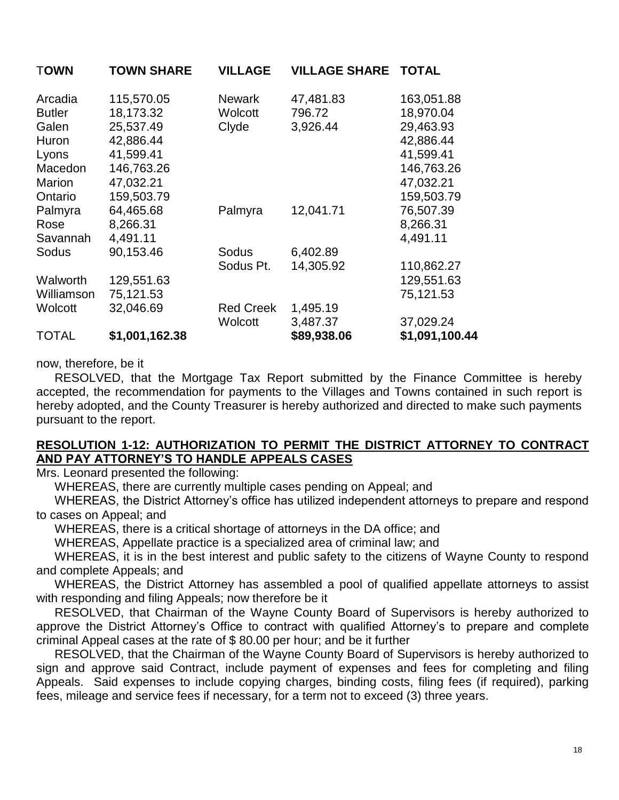| <b>TOWN</b>   | <b>TOWN SHARE</b> | <b>VILLAGE</b>   | <b>VILLAGE SHARE</b> | <b>TOTAL</b>   |
|---------------|-------------------|------------------|----------------------|----------------|
| Arcadia       | 115,570.05        | <b>Newark</b>    | 47,481.83            | 163,051.88     |
| <b>Butler</b> | 18,173.32         | Wolcott          | 796.72               | 18,970.04      |
| Galen         | 25,537.49         | Clyde            | 3,926.44             | 29,463.93      |
| Huron         | 42,886.44         |                  |                      | 42,886.44      |
| Lyons         | 41,599.41         |                  |                      | 41,599.41      |
| Macedon       | 146,763.26        |                  |                      | 146,763.26     |
| Marion        | 47,032.21         |                  |                      | 47,032.21      |
| Ontario       | 159,503.79        |                  |                      | 159,503.79     |
| Palmyra       | 64,465.68         | Palmyra          | 12,041.71            | 76,507.39      |
| Rose          | 8,266.31          |                  |                      | 8,266.31       |
| Savannah      | 4,491.11          |                  |                      | 4,491.11       |
| Sodus         | 90,153.46         | Sodus            | 6,402.89             |                |
|               |                   | Sodus Pt.        | 14,305.92            | 110,862.27     |
| Walworth      | 129,551.63        |                  |                      | 129,551.63     |
| Williamson    | 75,121.53         |                  |                      | 75,121.53      |
| Wolcott       | 32,046.69         | <b>Red Creek</b> | 1,495.19             |                |
|               |                   | Wolcott          | 3,487.37             | 37,029.24      |
| TOTAL         | \$1,001,162.38    |                  | \$89,938.06          | \$1,091,100.44 |

## now, therefore, be it

RESOLVED, that the Mortgage Tax Report submitted by the Finance Committee is hereby accepted, the recommendation for payments to the Villages and Towns contained in such report is hereby adopted, and the County Treasurer is hereby authorized and directed to make such payments pursuant to the report.

#### **RESOLUTION 1-12: AUTHORIZATION TO PERMIT THE DISTRICT ATTORNEY TO CONTRACT AND PAY ATTORNEY'S TO HANDLE APPEALS CASES**

Mrs. Leonard presented the following:

WHEREAS, there are currently multiple cases pending on Appeal; and

WHEREAS, the District Attorney's office has utilized independent attorneys to prepare and respond to cases on Appeal; and

WHEREAS, there is a critical shortage of attorneys in the DA office; and

WHEREAS, Appellate practice is a specialized area of criminal law; and

WHEREAS, it is in the best interest and public safety to the citizens of Wayne County to respond and complete Appeals; and

WHEREAS, the District Attorney has assembled a pool of qualified appellate attorneys to assist with responding and filing Appeals; now therefore be it

RESOLVED, that Chairman of the Wayne County Board of Supervisors is hereby authorized to approve the District Attorney's Office to contract with qualified Attorney's to prepare and complete criminal Appeal cases at the rate of \$ 80.00 per hour; and be it further

RESOLVED, that the Chairman of the Wayne County Board of Supervisors is hereby authorized to sign and approve said Contract, include payment of expenses and fees for completing and filing Appeals. Said expenses to include copying charges, binding costs, filing fees (if required), parking fees, mileage and service fees if necessary, for a term not to exceed (3) three years.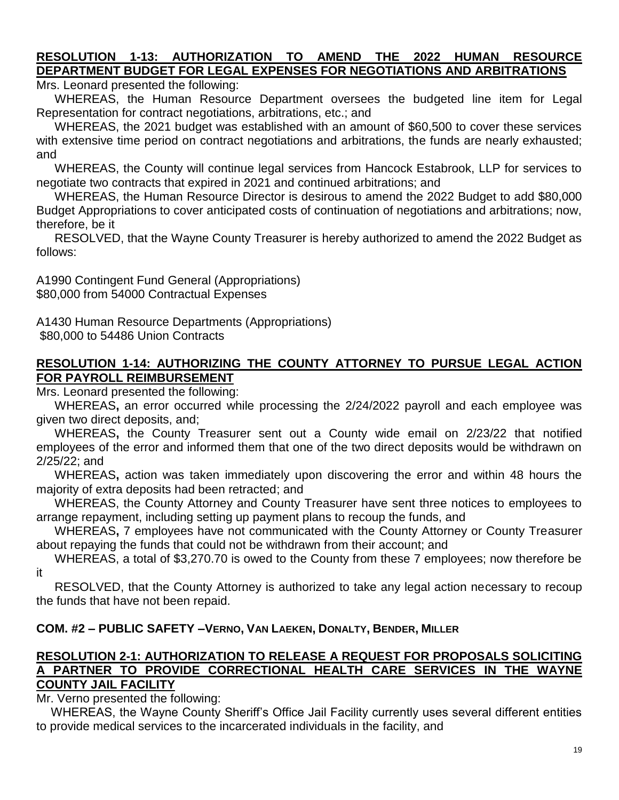## **RESOLUTION 1-13: AUTHORIZATION TO AMEND THE 2022 HUMAN RESOURCE DEPARTMENT BUDGET FOR LEGAL EXPENSES FOR NEGOTIATIONS AND ARBITRATIONS**

Mrs. Leonard presented the following:

WHEREAS, the Human Resource Department oversees the budgeted line item for Legal Representation for contract negotiations, arbitrations, etc.; and

WHEREAS, the 2021 budget was established with an amount of \$60,500 to cover these services with extensive time period on contract negotiations and arbitrations, the funds are nearly exhausted; and

WHEREAS, the County will continue legal services from Hancock Estabrook, LLP for services to negotiate two contracts that expired in 2021 and continued arbitrations; and

WHEREAS, the Human Resource Director is desirous to amend the 2022 Budget to add \$80,000 Budget Appropriations to cover anticipated costs of continuation of negotiations and arbitrations; now, therefore, be it

RESOLVED, that the Wayne County Treasurer is hereby authorized to amend the 2022 Budget as follows:

A1990 Contingent Fund General (Appropriations) \$80,000 from 54000 Contractual Expenses

A1430 Human Resource Departments (Appropriations) \$80,000 to 54486 Union Contracts

## **RESOLUTION 1-14: AUTHORIZING THE COUNTY ATTORNEY TO PURSUE LEGAL ACTION FOR PAYROLL REIMBURSEMENT**

Mrs. Leonard presented the following:

WHEREAS**,** an error occurred while processing the 2/24/2022 payroll and each employee was given two direct deposits, and;

WHEREAS**,** the County Treasurer sent out a County wide email on 2/23/22 that notified employees of the error and informed them that one of the two direct deposits would be withdrawn on 2/25/22; and

WHEREAS**,** action was taken immediately upon discovering the error and within 48 hours the majority of extra deposits had been retracted; and

WHEREAS, the County Attorney and County Treasurer have sent three notices to employees to arrange repayment, including setting up payment plans to recoup the funds, and

WHEREAS**,** 7 employees have not communicated with the County Attorney or County Treasurer about repaying the funds that could not be withdrawn from their account; and

WHEREAS, a total of \$3,270.70 is owed to the County from these 7 employees; now therefore be it

RESOLVED, that the County Attorney is authorized to take any legal action necessary to recoup the funds that have not been repaid.

## **COM. #2 – PUBLIC SAFETY –VERNO, VAN LAEKEN, DONALTY, BENDER, MILLER**

#### **RESOLUTION 2-1: AUTHORIZATION TO RELEASE A REQUEST FOR PROPOSALS SOLICITING A PARTNER TO PROVIDE CORRECTIONAL HEALTH CARE SERVICES IN THE WAYNE COUNTY JAIL FACILITY**

Mr. Verno presented the following:

WHEREAS, the Wayne County Sheriff's Office Jail Facility currently uses several different entities to provide medical services to the incarcerated individuals in the facility, and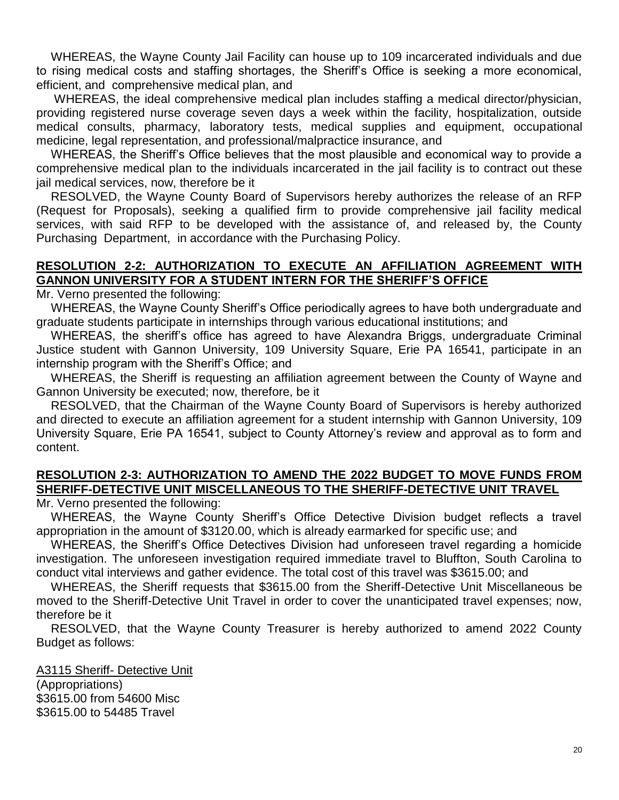WHEREAS, the Wayne County Jail Facility can house up to 109 incarcerated individuals and due to rising medical costs and staffing shortages, the Sheriff's Office is seeking a more economical, efficient, and comprehensive medical plan, and

WHEREAS, the ideal comprehensive medical plan includes staffing a medical director/physician, providing registered nurse coverage seven days a week within the facility, hospitalization, outside medical consults, pharmacy, laboratory tests, medical supplies and equipment, occupational medicine, legal representation, and professional/malpractice insurance, and

WHEREAS, the Sheriff's Office believes that the most plausible and economical way to provide a comprehensive medical plan to the individuals incarcerated in the jail facility is to contract out these jail medical services, now, therefore be it

RESOLVED, the Wayne County Board of Supervisors hereby authorizes the release of an RFP (Request for Proposals), seeking a qualified firm to provide comprehensive jail facility medical services, with said RFP to be developed with the assistance of, and released by, the County Purchasing Department, in accordance with the Purchasing Policy.

## **RESOLUTION 2-2: AUTHORIZATION TO EXECUTE AN AFFILIATION AGREEMENT WITH GANNON UNIVERSITY FOR A STUDENT INTERN FOR THE SHERIFF'S OFFICE**

Mr. Verno presented the following:

WHEREAS, the Wayne County Sheriff's Office periodically agrees to have both undergraduate and graduate students participate in internships through various educational institutions; and

WHEREAS, the sheriff's office has agreed to have Alexandra Briggs, undergraduate Criminal Justice student with Gannon University, 109 University Square, Erie PA 16541, participate in an internship program with the Sheriff's Office; and

WHEREAS, the Sheriff is requesting an affiliation agreement between the County of Wayne and Gannon University be executed; now, therefore, be it

RESOLVED, that the Chairman of the Wayne County Board of Supervisors is hereby authorized and directed to execute an affiliation agreement for a student internship with Gannon University, 109 University Square, Erie PA 16541, subject to County Attorney's review and approval as to form and content.

## **RESOLUTION 2-3: AUTHORIZATION TO AMEND THE 2022 BUDGET TO MOVE FUNDS FROM SHERIFF-DETECTIVE UNIT MISCELLANEOUS TO THE SHERIFF-DETECTIVE UNIT TRAVEL**

Mr. Verno presented the following:

WHEREAS, the Wayne County Sheriff's Office Detective Division budget reflects a travel appropriation in the amount of \$3120.00, which is already earmarked for specific use; and

WHEREAS, the Sheriff's Office Detectives Division had unforeseen travel regarding a homicide investigation. The unforeseen investigation required immediate travel to Bluffton, South Carolina to conduct vital interviews and gather evidence. The total cost of this travel was \$3615.00; and

WHEREAS, the Sheriff requests that \$3615.00 from the Sheriff-Detective Unit Miscellaneous be moved to the Sheriff-Detective Unit Travel in order to cover the unanticipated travel expenses; now, therefore be it

RESOLVED, that the Wayne County Treasurer is hereby authorized to amend 2022 County Budget as follows:

A3115 Sheriff- Detective Unit (Appropriations) \$3615.00 from 54600 Misc \$3615.00 to 54485 Travel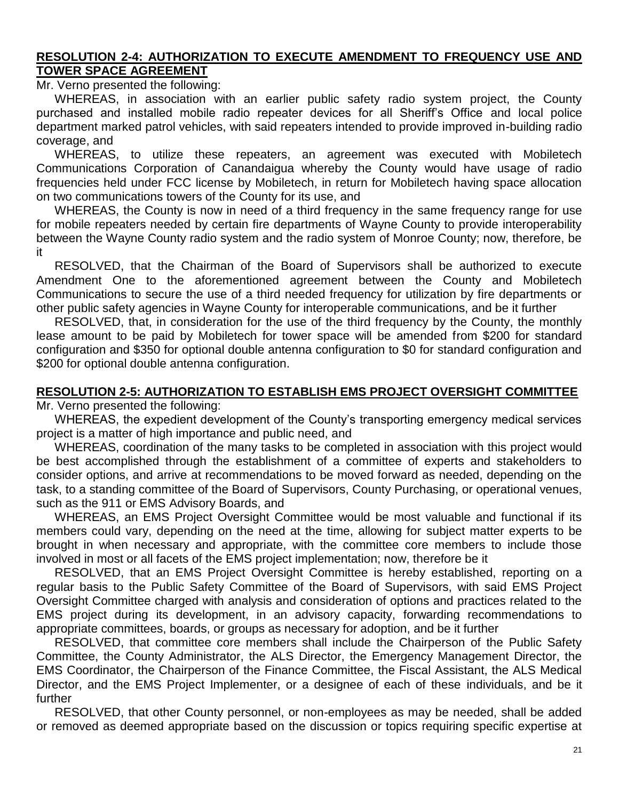#### **RESOLUTION 2-4: AUTHORIZATION TO EXECUTE AMENDMENT TO FREQUENCY USE AND TOWER SPACE AGREEMENT**

Mr. Verno presented the following:

WHEREAS, in association with an earlier public safety radio system project, the County purchased and installed mobile radio repeater devices for all Sheriff's Office and local police department marked patrol vehicles, with said repeaters intended to provide improved in-building radio coverage, and

WHEREAS, to utilize these repeaters, an agreement was executed with Mobiletech Communications Corporation of Canandaigua whereby the County would have usage of radio frequencies held under FCC license by Mobiletech, in return for Mobiletech having space allocation on two communications towers of the County for its use, and

WHEREAS, the County is now in need of a third frequency in the same frequency range for use for mobile repeaters needed by certain fire departments of Wayne County to provide interoperability between the Wayne County radio system and the radio system of Monroe County; now, therefore, be it

RESOLVED, that the Chairman of the Board of Supervisors shall be authorized to execute Amendment One to the aforementioned agreement between the County and Mobiletech Communications to secure the use of a third needed frequency for utilization by fire departments or other public safety agencies in Wayne County for interoperable communications, and be it further

RESOLVED, that, in consideration for the use of the third frequency by the County, the monthly lease amount to be paid by Mobiletech for tower space will be amended from \$200 for standard configuration and \$350 for optional double antenna configuration to \$0 for standard configuration and \$200 for optional double antenna configuration.

## **RESOLUTION 2-5: AUTHORIZATION TO ESTABLISH EMS PROJECT OVERSIGHT COMMITTEE**

Mr. Verno presented the following:

WHEREAS, the expedient development of the County's transporting emergency medical services project is a matter of high importance and public need, and

WHEREAS, coordination of the many tasks to be completed in association with this project would be best accomplished through the establishment of a committee of experts and stakeholders to consider options, and arrive at recommendations to be moved forward as needed, depending on the task, to a standing committee of the Board of Supervisors, County Purchasing, or operational venues, such as the 911 or EMS Advisory Boards, and

WHEREAS, an EMS Project Oversight Committee would be most valuable and functional if its members could vary, depending on the need at the time, allowing for subject matter experts to be brought in when necessary and appropriate, with the committee core members to include those involved in most or all facets of the EMS project implementation; now, therefore be it

RESOLVED, that an EMS Project Oversight Committee is hereby established, reporting on a regular basis to the Public Safety Committee of the Board of Supervisors, with said EMS Project Oversight Committee charged with analysis and consideration of options and practices related to the EMS project during its development, in an advisory capacity, forwarding recommendations to appropriate committees, boards, or groups as necessary for adoption, and be it further

RESOLVED, that committee core members shall include the Chairperson of the Public Safety Committee, the County Administrator, the ALS Director, the Emergency Management Director, the EMS Coordinator, the Chairperson of the Finance Committee, the Fiscal Assistant, the ALS Medical Director, and the EMS Project Implementer, or a designee of each of these individuals, and be it further

RESOLVED, that other County personnel, or non-employees as may be needed, shall be added or removed as deemed appropriate based on the discussion or topics requiring specific expertise at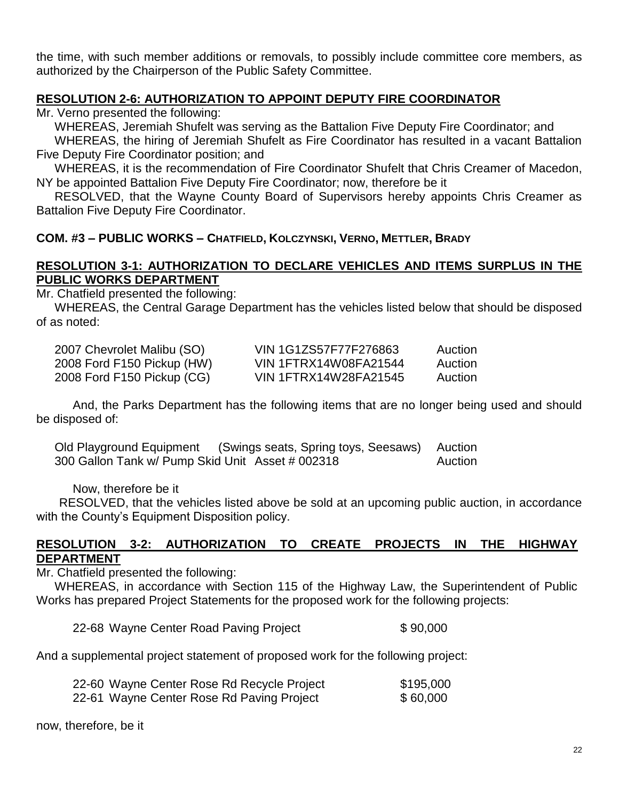the time, with such member additions or removals, to possibly include committee core members, as authorized by the Chairperson of the Public Safety Committee.

## **RESOLUTION 2-6: AUTHORIZATION TO APPOINT DEPUTY FIRE COORDINATOR**

Mr. Verno presented the following:

WHEREAS, Jeremiah Shufelt was serving as the Battalion Five Deputy Fire Coordinator; and

WHEREAS, the hiring of Jeremiah Shufelt as Fire Coordinator has resulted in a vacant Battalion Five Deputy Fire Coordinator position; and

WHEREAS, it is the recommendation of Fire Coordinator Shufelt that Chris Creamer of Macedon, NY be appointed Battalion Five Deputy Fire Coordinator; now, therefore be it

RESOLVED, that the Wayne County Board of Supervisors hereby appoints Chris Creamer as Battalion Five Deputy Fire Coordinator.

#### **COM. #3 – PUBLIC WORKS – CHATFIELD, KOLCZYNSKI, VERNO, METTLER, BRADY**

## **RESOLUTION 3-1: AUTHORIZATION TO DECLARE VEHICLES AND ITEMS SURPLUS IN THE PUBLIC WORKS DEPARTMENT**

Mr. Chatfield presented the following:

WHEREAS, the Central Garage Department has the vehicles listed below that should be disposed of as noted:

| 2007 Chevrolet Malibu (SO) | VIN 1G1ZS57F77F276863 | Auction |
|----------------------------|-----------------------|---------|
| 2008 Ford F150 Pickup (HW) | VIN 1FTRX14W08FA21544 | Auction |
| 2008 Ford F150 Pickup (CG) | VIN 1FTRX14W28FA21545 | Auction |

And, the Parks Department has the following items that are no longer being used and should be disposed of:

Old Playground Equipment (Swings seats, Spring toys, Seesaws) Auction 300 Gallon Tank w/ Pump Skid Unit Asset # 002318 Auction

Now, therefore be it

RESOLVED, that the vehicles listed above be sold at an upcoming public auction, in accordance with the County's Equipment Disposition policy.

#### **RESOLUTION 3-2: AUTHORIZATION TO CREATE PROJECTS IN THE HIGHWAY DEPARTMENT**

Mr. Chatfield presented the following:

WHEREAS, in accordance with Section 115 of the Highway Law, the Superintendent of Public Works has prepared Project Statements for the proposed work for the following projects:

22-68 Wayne Center Road Paving Project \$ 90,000

And a supplemental project statement of proposed work for the following project:

| 22-60 Wayne Center Rose Rd Recycle Project | \$195,000 |
|--------------------------------------------|-----------|
| 22-61 Wayne Center Rose Rd Paving Project  | \$60,000  |

now, therefore, be it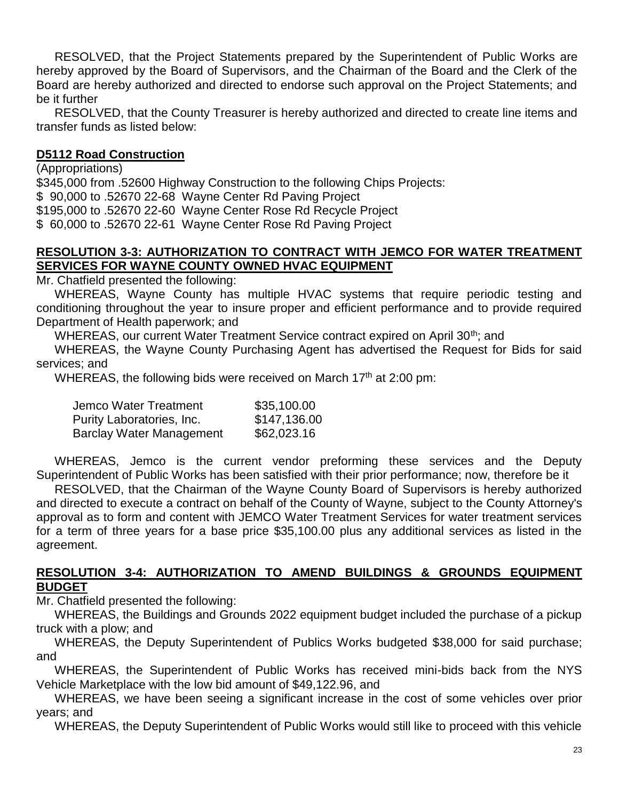RESOLVED, that the Project Statements prepared by the Superintendent of Public Works are hereby approved by the Board of Supervisors, and the Chairman of the Board and the Clerk of the Board are hereby authorized and directed to endorse such approval on the Project Statements; and be it further

RESOLVED, that the County Treasurer is hereby authorized and directed to create line items and transfer funds as listed below:

#### **D5112 Road Construction**

(Appropriations) \$345,000 from .52600 Highway Construction to the following Chips Projects: \$ 90,000 to .52670 22-68 Wayne Center Rd Paving Project \$195,000 to .52670 22-60 Wayne Center Rose Rd Recycle Project \$ 60,000 to .52670 22-61 Wayne Center Rose Rd Paving Project

## **RESOLUTION 3-3: AUTHORIZATION TO CONTRACT WITH JEMCO FOR WATER TREATMENT SERVICES FOR WAYNE COUNTY OWNED HVAC EQUIPMENT**

Mr. Chatfield presented the following:

WHEREAS, Wayne County has multiple HVAC systems that require periodic testing and conditioning throughout the year to insure proper and efficient performance and to provide required Department of Health paperwork; and

WHEREAS, our current Water Treatment Service contract expired on April 30<sup>th</sup>; and

WHEREAS, the Wayne County Purchasing Agent has advertised the Request for Bids for said services; and

WHEREAS, the following bids were received on March 17<sup>th</sup> at 2:00 pm:

| Jemco Water Treatment           | \$35,100.00  |
|---------------------------------|--------------|
| Purity Laboratories, Inc.       | \$147,136.00 |
| <b>Barclay Water Management</b> | \$62,023.16  |

WHEREAS, Jemco is the current vendor preforming these services and the Deputy Superintendent of Public Works has been satisfied with their prior performance; now, therefore be it

RESOLVED, that the Chairman of the Wayne County Board of Supervisors is hereby authorized and directed to execute a contract on behalf of the County of Wayne, subject to the County Attorney's approval as to form and content with JEMCO Water Treatment Services for water treatment services for a term of three years for a base price \$35,100.00 plus any additional services as listed in the agreement.

#### **RESOLUTION 3-4: AUTHORIZATION TO AMEND BUILDINGS & GROUNDS EQUIPMENT BUDGET**

Mr. Chatfield presented the following:

WHEREAS, the Buildings and Grounds 2022 equipment budget included the purchase of a pickup truck with a plow; and

WHEREAS, the Deputy Superintendent of Publics Works budgeted \$38,000 for said purchase; and

WHEREAS, the Superintendent of Public Works has received mini-bids back from the NYS Vehicle Marketplace with the low bid amount of \$49,122.96, and

WHEREAS, we have been seeing a significant increase in the cost of some vehicles over prior years; and

WHEREAS, the Deputy Superintendent of Public Works would still like to proceed with this vehicle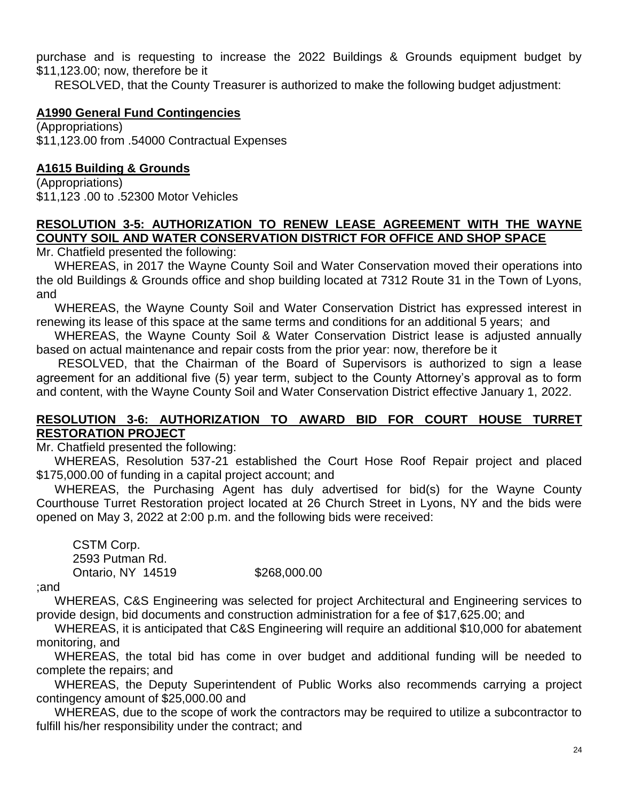purchase and is requesting to increase the 2022 Buildings & Grounds equipment budget by \$11,123.00; now, therefore be it

RESOLVED, that the County Treasurer is authorized to make the following budget adjustment:

## **A1990 General Fund Contingencies**

(Appropriations) \$11,123.00 from .54000 Contractual Expenses

## **A1615 Building & Grounds**

(Appropriations) \$11,123 .00 to .52300 Motor Vehicles

## **RESOLUTION 3-5: AUTHORIZATION TO RENEW LEASE AGREEMENT WITH THE WAYNE COUNTY SOIL AND WATER CONSERVATION DISTRICT FOR OFFICE AND SHOP SPACE**

Mr. Chatfield presented the following:

WHEREAS, in 2017 the Wayne County Soil and Water Conservation moved their operations into the old Buildings & Grounds office and shop building located at 7312 Route 31 in the Town of Lyons, and

WHEREAS, the Wayne County Soil and Water Conservation District has expressed interest in renewing its lease of this space at the same terms and conditions for an additional 5 years; and

WHEREAS, the Wayne County Soil & Water Conservation District lease is adjusted annually based on actual maintenance and repair costs from the prior year: now, therefore be it

RESOLVED, that the Chairman of the Board of Supervisors is authorized to sign a lease agreement for an additional five (5) year term, subject to the County Attorney's approval as to form and content, with the Wayne County Soil and Water Conservation District effective January 1, 2022.

#### **RESOLUTION 3-6: AUTHORIZATION TO AWARD BID FOR COURT HOUSE TURRET RESTORATION PROJECT**

Mr. Chatfield presented the following:

WHEREAS, Resolution 537-21 established the Court Hose Roof Repair project and placed \$175,000.00 of funding in a capital project account; and

WHEREAS, the Purchasing Agent has duly advertised for bid(s) for the Wayne County Courthouse Turret Restoration project located at 26 Church Street in Lyons, NY and the bids were opened on May 3, 2022 at 2:00 p.m. and the following bids were received:

CSTM Corp. 2593 Putman Rd. Ontario, NY 14519 \$268,000.00

;and

WHEREAS, C&S Engineering was selected for project Architectural and Engineering services to provide design, bid documents and construction administration for a fee of \$17,625.00; and

WHEREAS, it is anticipated that C&S Engineering will require an additional \$10,000 for abatement monitoring, and

WHEREAS, the total bid has come in over budget and additional funding will be needed to complete the repairs; and

WHEREAS, the Deputy Superintendent of Public Works also recommends carrying a project contingency amount of \$25,000.00 and

WHEREAS, due to the scope of work the contractors may be required to utilize a subcontractor to fulfill his/her responsibility under the contract; and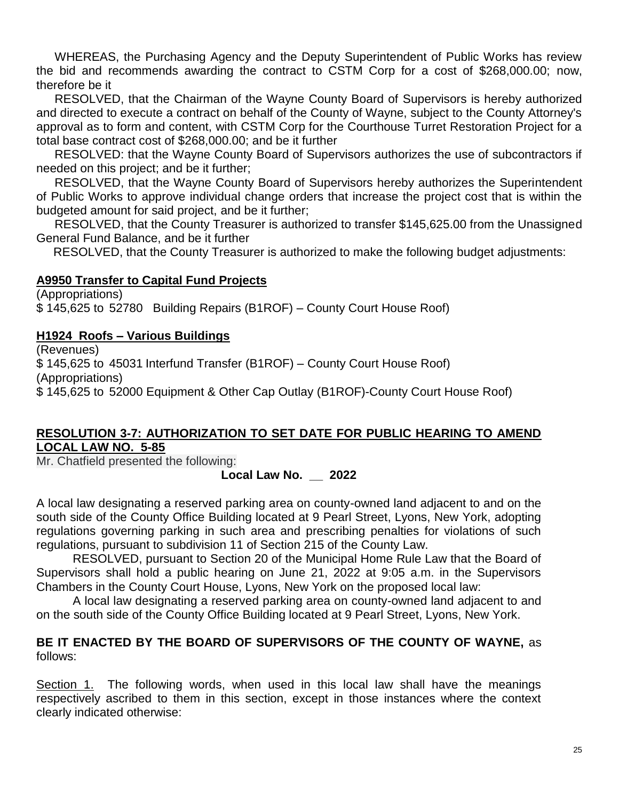WHEREAS, the Purchasing Agency and the Deputy Superintendent of Public Works has review the bid and recommends awarding the contract to CSTM Corp for a cost of \$268,000.00; now, therefore be it

RESOLVED, that the Chairman of the Wayne County Board of Supervisors is hereby authorized and directed to execute a contract on behalf of the County of Wayne, subject to the County Attorney's approval as to form and content, with CSTM Corp for the Courthouse Turret Restoration Project for a total base contract cost of \$268,000.00; and be it further

RESOLVED: that the Wayne County Board of Supervisors authorizes the use of subcontractors if needed on this project; and be it further;

RESOLVED, that the Wayne County Board of Supervisors hereby authorizes the Superintendent of Public Works to approve individual change orders that increase the project cost that is within the budgeted amount for said project, and be it further;

RESOLVED, that the County Treasurer is authorized to transfer \$145,625.00 from the Unassigned General Fund Balance, and be it further

RESOLVED, that the County Treasurer is authorized to make the following budget adjustments:

## **A9950 Transfer to Capital Fund Projects**

(Appropriations) \$ 145,625 to 52780 Building Repairs (B1ROF) – County Court House Roof)

## **H1924 Roofs – Various Buildings**

(Revenues) \$ 145,625 to 45031 Interfund Transfer (B1ROF) – County Court House Roof) (Appropriations) \$ 145,625 to 52000 Equipment & Other Cap Outlay (B1ROF)-County Court House Roof)

#### **RESOLUTION 3-7: AUTHORIZATION TO SET DATE FOR PUBLIC HEARING TO AMEND LOCAL LAW NO. 5-85**

Mr. Chatfield presented the following:

## **Local Law No. \_\_ 2022**

A local law designating a reserved parking area on county-owned land adjacent to and on the south side of the County Office Building located at 9 Pearl Street, Lyons, New York, adopting regulations governing parking in such area and prescribing penalties for violations of such regulations, pursuant to subdivision 11 of Section 215 of the County Law.

RESOLVED, pursuant to Section 20 of the Municipal Home Rule Law that the Board of Supervisors shall hold a public hearing on June 21, 2022 at 9:05 a.m. in the Supervisors Chambers in the County Court House, Lyons, New York on the proposed local law:

A local law designating a reserved parking area on county-owned land adjacent to and on the south side of the County Office Building located at 9 Pearl Street, Lyons, New York.

## **BE IT ENACTED BY THE BOARD OF SUPERVISORS OF THE COUNTY OF WAYNE,** as follows:

Section 1. The following words, when used in this local law shall have the meanings respectively ascribed to them in this section, except in those instances where the context clearly indicated otherwise: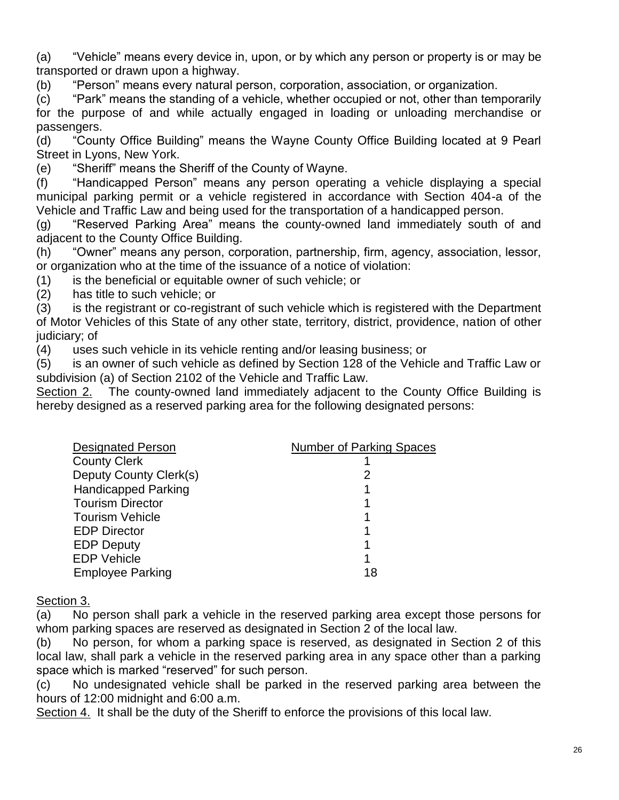(a) "Vehicle" means every device in, upon, or by which any person or property is or may be transported or drawn upon a highway.

(b) "Person" means every natural person, corporation, association, or organization.

(c) "Park" means the standing of a vehicle, whether occupied or not, other than temporarily for the purpose of and while actually engaged in loading or unloading merchandise or passengers.

(d) "County Office Building" means the Wayne County Office Building located at 9 Pearl Street in Lyons, New York.

(e) "Sheriff" means the Sheriff of the County of Wayne.

(f) "Handicapped Person" means any person operating a vehicle displaying a special municipal parking permit or a vehicle registered in accordance with Section 404-a of the Vehicle and Traffic Law and being used for the transportation of a handicapped person.

(g) "Reserved Parking Area" means the county-owned land immediately south of and adjacent to the County Office Building.

(h) "Owner" means any person, corporation, partnership, firm, agency, association, lessor, or organization who at the time of the issuance of a notice of violation:

(1) is the beneficial or equitable owner of such vehicle; or

(2) has title to such vehicle; or

(3) is the registrant or co-registrant of such vehicle which is registered with the Department of Motor Vehicles of this State of any other state, territory, district, providence, nation of other judiciary; of

(4) uses such vehicle in its vehicle renting and/or leasing business; or

(5) is an owner of such vehicle as defined by Section 128 of the Vehicle and Traffic Law or subdivision (a) of Section 2102 of the Vehicle and Traffic Law.

Section 2. The county-owned land immediately adjacent to the County Office Building is hereby designed as a reserved parking area for the following designated persons:

| <b>Designated Person</b>   | <b>Number of Parking Spaces</b> |
|----------------------------|---------------------------------|
| <b>County Clerk</b>        |                                 |
| Deputy County Clerk(s)     | 2                               |
| <b>Handicapped Parking</b> |                                 |
| <b>Tourism Director</b>    |                                 |
| <b>Tourism Vehicle</b>     |                                 |
| <b>EDP Director</b>        |                                 |
| <b>EDP Deputy</b>          |                                 |
| <b>EDP Vehicle</b>         |                                 |
| <b>Employee Parking</b>    | 18                              |
|                            |                                 |

#### Section 3.

(a) No person shall park a vehicle in the reserved parking area except those persons for whom parking spaces are reserved as designated in Section 2 of the local law.

(b) No person, for whom a parking space is reserved, as designated in Section 2 of this local law, shall park a vehicle in the reserved parking area in any space other than a parking space which is marked "reserved" for such person.

(c) No undesignated vehicle shall be parked in the reserved parking area between the hours of 12:00 midnight and 6:00 a.m.

Section 4. It shall be the duty of the Sheriff to enforce the provisions of this local law.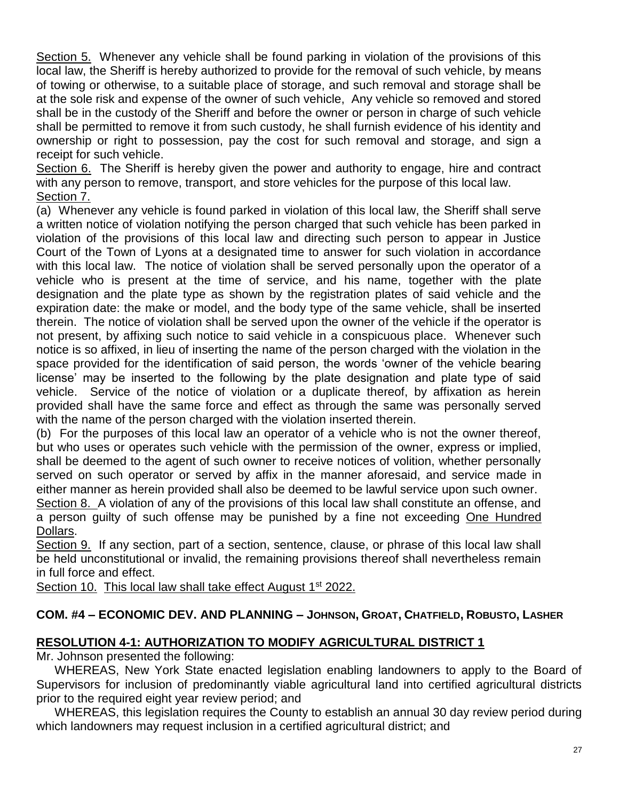Section 5. Whenever any vehicle shall be found parking in violation of the provisions of this local law, the Sheriff is hereby authorized to provide for the removal of such vehicle, by means of towing or otherwise, to a suitable place of storage, and such removal and storage shall be at the sole risk and expense of the owner of such vehicle, Any vehicle so removed and stored shall be in the custody of the Sheriff and before the owner or person in charge of such vehicle shall be permitted to remove it from such custody, he shall furnish evidence of his identity and ownership or right to possession, pay the cost for such removal and storage, and sign a receipt for such vehicle.

Section 6. The Sheriff is hereby given the power and authority to engage, hire and contract with any person to remove, transport, and store vehicles for the purpose of this local law. Section 7.

(a) Whenever any vehicle is found parked in violation of this local law, the Sheriff shall serve a written notice of violation notifying the person charged that such vehicle has been parked in violation of the provisions of this local law and directing such person to appear in Justice Court of the Town of Lyons at a designated time to answer for such violation in accordance with this local law. The notice of violation shall be served personally upon the operator of a vehicle who is present at the time of service, and his name, together with the plate designation and the plate type as shown by the registration plates of said vehicle and the expiration date: the make or model, and the body type of the same vehicle, shall be inserted therein. The notice of violation shall be served upon the owner of the vehicle if the operator is not present, by affixing such notice to said vehicle in a conspicuous place. Whenever such notice is so affixed, in lieu of inserting the name of the person charged with the violation in the space provided for the identification of said person, the words 'owner of the vehicle bearing license' may be inserted to the following by the plate designation and plate type of said vehicle. Service of the notice of violation or a duplicate thereof, by affixation as herein provided shall have the same force and effect as through the same was personally served with the name of the person charged with the violation inserted therein.

(b) For the purposes of this local law an operator of a vehicle who is not the owner thereof, but who uses or operates such vehicle with the permission of the owner, express or implied, shall be deemed to the agent of such owner to receive notices of volition, whether personally served on such operator or served by affix in the manner aforesaid, and service made in either manner as herein provided shall also be deemed to be lawful service upon such owner.

Section 8. A violation of any of the provisions of this local law shall constitute an offense, and a person guilty of such offense may be punished by a fine not exceeding One Hundred Dollars.

Section 9. If any section, part of a section, sentence, clause, or phrase of this local law shall be held unconstitutional or invalid, the remaining provisions thereof shall nevertheless remain in full force and effect.

Section 10. This local law shall take effect August 1<sup>st</sup> 2022.

# **COM. #4 – ECONOMIC DEV. AND PLANNING – JOHNSON, GROAT, CHATFIELD, ROBUSTO, LASHER**

## **RESOLUTION 4-1: AUTHORIZATION TO MODIFY AGRICULTURAL DISTRICT 1**

Mr. Johnson presented the following:

WHEREAS, New York State enacted legislation enabling landowners to apply to the Board of Supervisors for inclusion of predominantly viable agricultural land into certified agricultural districts prior to the required eight year review period; and

WHEREAS, this legislation requires the County to establish an annual 30 day review period during which landowners may request inclusion in a certified agricultural district; and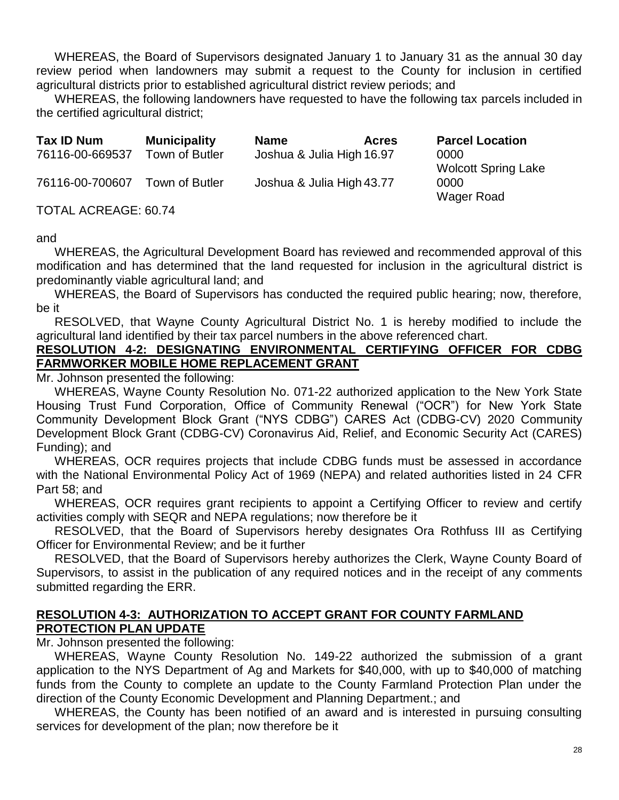WHEREAS, the Board of Supervisors designated January 1 to January 31 as the annual 30 day review period when landowners may submit a request to the County for inclusion in certified agricultural districts prior to established agricultural district review periods; and

WHEREAS, the following landowners have requested to have the following tax parcels included in the certified agricultural district;

| Tax ID Num      | <b>Municipality</b> | <b>Name</b>               | <b>Acres</b> | <b>Parcel Location</b>     |
|-----------------|---------------------|---------------------------|--------------|----------------------------|
| 76116-00-669537 | Town of Butler      | Joshua & Julia High 16.97 |              | 0000                       |
|                 |                     |                           |              | <b>Wolcott Spring Lake</b> |
| 76116-00-700607 | Town of Butler      | Joshua & Julia High 43.77 |              | 0000                       |
|                 |                     |                           |              | Wager Road                 |

TOTAL ACREAGE: 60.74

and

WHEREAS, the Agricultural Development Board has reviewed and recommended approval of this modification and has determined that the land requested for inclusion in the agricultural district is predominantly viable agricultural land; and

WHEREAS, the Board of Supervisors has conducted the required public hearing; now, therefore, be it

RESOLVED, that Wayne County Agricultural District No. 1 is hereby modified to include the agricultural land identified by their tax parcel numbers in the above referenced chart.

## **RESOLUTION 4-2: DESIGNATING ENVIRONMENTAL CERTIFYING OFFICER FOR CDBG FARMWORKER MOBILE HOME REPLACEMENT GRANT**

Mr. Johnson presented the following:

WHEREAS, Wayne County Resolution No. 071-22 authorized application to the New York State Housing Trust Fund Corporation, Office of Community Renewal ("OCR") for New York State Community Development Block Grant ("NYS CDBG") CARES Act (CDBG-CV) 2020 Community Development Block Grant (CDBG-CV) Coronavirus Aid, Relief, and Economic Security Act (CARES) Funding); and

WHEREAS, OCR requires projects that include CDBG funds must be assessed in accordance with the National Environmental Policy Act of 1969 (NEPA) and related authorities listed in 24 CFR Part 58; and

WHEREAS, OCR requires grant recipients to appoint a Certifying Officer to review and certify activities comply with SEQR and NEPA regulations; now therefore be it

RESOLVED, that the Board of Supervisors hereby designates Ora Rothfuss III as Certifying Officer for Environmental Review; and be it further

RESOLVED, that the Board of Supervisors hereby authorizes the Clerk, Wayne County Board of Supervisors, to assist in the publication of any required notices and in the receipt of any comments submitted regarding the ERR.

## **RESOLUTION 4-3: AUTHORIZATION TO ACCEPT GRANT FOR COUNTY FARMLAND PROTECTION PLAN UPDATE**

Mr. Johnson presented the following:

WHEREAS, Wayne County Resolution No. 149-22 authorized the submission of a grant application to the NYS Department of Ag and Markets for \$40,000, with up to \$40,000 of matching funds from the County to complete an update to the County Farmland Protection Plan under the direction of the County Economic Development and Planning Department.; and

WHEREAS, the County has been notified of an award and is interested in pursuing consulting services for development of the plan; now therefore be it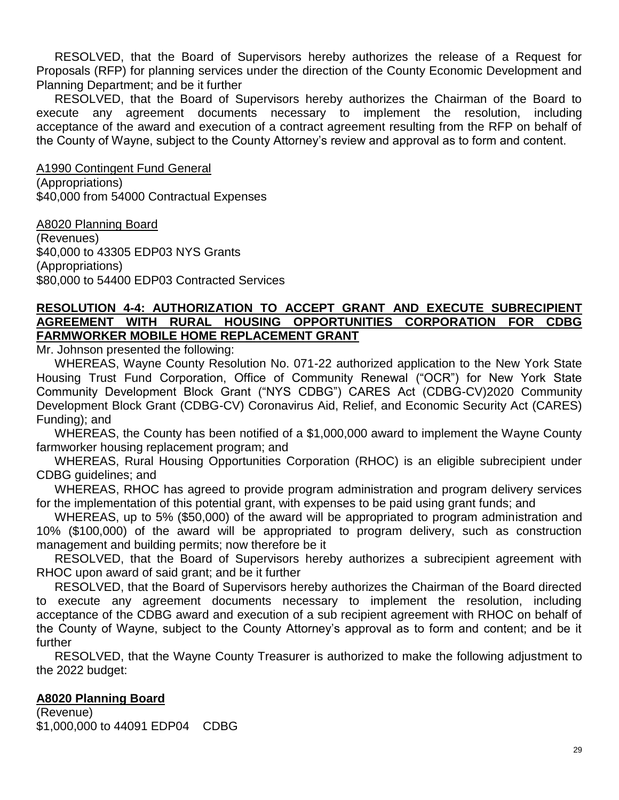RESOLVED, that the Board of Supervisors hereby authorizes the release of a Request for Proposals (RFP) for planning services under the direction of the County Economic Development and Planning Department; and be it further

RESOLVED, that the Board of Supervisors hereby authorizes the Chairman of the Board to execute any agreement documents necessary to implement the resolution, including acceptance of the award and execution of a contract agreement resulting from the RFP on behalf of the County of Wayne, subject to the County Attorney's review and approval as to form and content.

A1990 Contingent Fund General (Appropriations) \$40,000 from 54000 Contractual Expenses

A8020 Planning Board (Revenues) \$40,000 to 43305 EDP03 NYS Grants (Appropriations) \$80,000 to 54400 EDP03 Contracted Services

## **RESOLUTION 4-4: AUTHORIZATION TO ACCEPT GRANT AND EXECUTE SUBRECIPIENT AGREEMENT WITH RURAL HOUSING OPPORTUNITIES CORPORATION FOR CDBG FARMWORKER MOBILE HOME REPLACEMENT GRANT**

Mr. Johnson presented the following:

WHEREAS, Wayne County Resolution No. 071-22 authorized application to the New York State Housing Trust Fund Corporation, Office of Community Renewal ("OCR") for New York State Community Development Block Grant ("NYS CDBG") CARES Act (CDBG-CV)2020 Community Development Block Grant (CDBG-CV) Coronavirus Aid, Relief, and Economic Security Act (CARES) Funding); and

WHEREAS, the County has been notified of a \$1,000,000 award to implement the Wayne County farmworker housing replacement program; and

WHEREAS, Rural Housing Opportunities Corporation (RHOC) is an eligible subrecipient under CDBG guidelines; and

WHEREAS, RHOC has agreed to provide program administration and program delivery services for the implementation of this potential grant, with expenses to be paid using grant funds; and

WHEREAS, up to 5% (\$50,000) of the award will be appropriated to program administration and 10% (\$100,000) of the award will be appropriated to program delivery, such as construction management and building permits; now therefore be it

RESOLVED, that the Board of Supervisors hereby authorizes a subrecipient agreement with RHOC upon award of said grant; and be it further

RESOLVED, that the Board of Supervisors hereby authorizes the Chairman of the Board directed to execute any agreement documents necessary to implement the resolution, including acceptance of the CDBG award and execution of a sub recipient agreement with RHOC on behalf of the County of Wayne, subject to the County Attorney's approval as to form and content; and be it further

RESOLVED, that the Wayne County Treasurer is authorized to make the following adjustment to the 2022 budget:

#### **A8020 Planning Board**

(Revenue) \$1,000,000 to 44091 EDP04 CDBG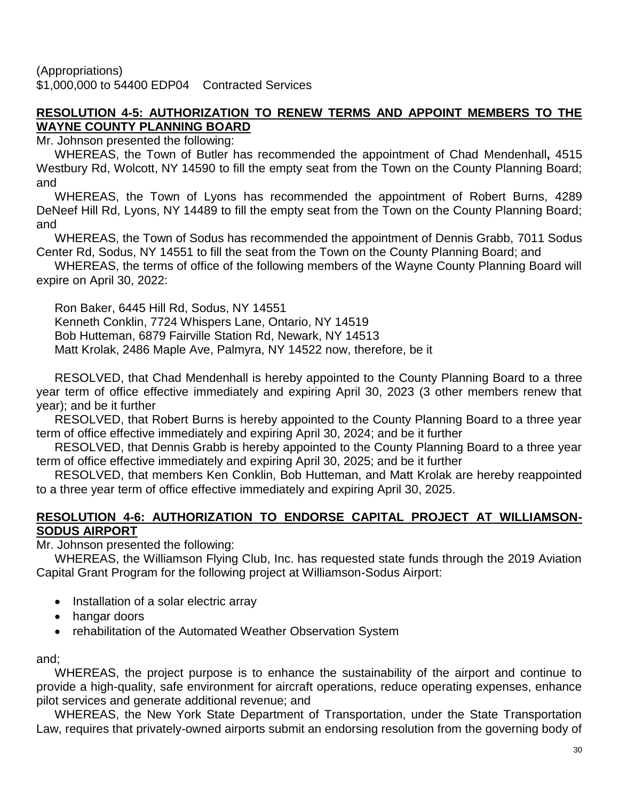(Appropriations) \$1,000,000 to 54400 EDP04 Contracted Services

## **RESOLUTION 4-5: AUTHORIZATION TO RENEW TERMS AND APPOINT MEMBERS TO THE WAYNE COUNTY PLANNING BOARD**

Mr. Johnson presented the following:

WHEREAS, the Town of Butler has recommended the appointment of Chad Mendenhall**,** 4515 Westbury Rd, Wolcott, NY 14590 to fill the empty seat from the Town on the County Planning Board; and

WHEREAS, the Town of Lyons has recommended the appointment of Robert Burns, 4289 DeNeef Hill Rd, Lyons, NY 14489 to fill the empty seat from the Town on the County Planning Board; and

WHEREAS, the Town of Sodus has recommended the appointment of Dennis Grabb, 7011 Sodus Center Rd, Sodus, NY 14551 to fill the seat from the Town on the County Planning Board; and

WHEREAS, the terms of office of the following members of the Wayne County Planning Board will expire on April 30, 2022:

Ron Baker, 6445 Hill Rd, Sodus, NY 14551 Kenneth Conklin, 7724 Whispers Lane, Ontario, NY 14519 Bob Hutteman, 6879 Fairville Station Rd, Newark, NY 14513 Matt Krolak, 2486 Maple Ave, Palmyra, NY 14522 now, therefore, be it

RESOLVED, that Chad Mendenhall is hereby appointed to the County Planning Board to a three year term of office effective immediately and expiring April 30, 2023 (3 other members renew that year); and be it further

RESOLVED, that Robert Burns is hereby appointed to the County Planning Board to a three year term of office effective immediately and expiring April 30, 2024; and be it further

RESOLVED, that Dennis Grabb is hereby appointed to the County Planning Board to a three year term of office effective immediately and expiring April 30, 2025; and be it further

RESOLVED, that members Ken Conklin, Bob Hutteman, and Matt Krolak are hereby reappointed to a three year term of office effective immediately and expiring April 30, 2025.

## **RESOLUTION 4-6: AUTHORIZATION TO ENDORSE CAPITAL PROJECT AT WILLIAMSON-SODUS AIRPORT**

Mr. Johnson presented the following:

WHEREAS, the Williamson Flying Club, Inc. has requested state funds through the 2019 Aviation Capital Grant Program for the following project at Williamson-Sodus Airport:

- Installation of a solar electric array
- hangar doors
- rehabilitation of the Automated Weather Observation System

and;

WHEREAS, the project purpose is to enhance the sustainability of the airport and continue to provide a high-quality, safe environment for aircraft operations, reduce operating expenses, enhance pilot services and generate additional revenue; and

WHEREAS, the New York State Department of Transportation, under the State Transportation Law, requires that privately-owned airports submit an endorsing resolution from the governing body of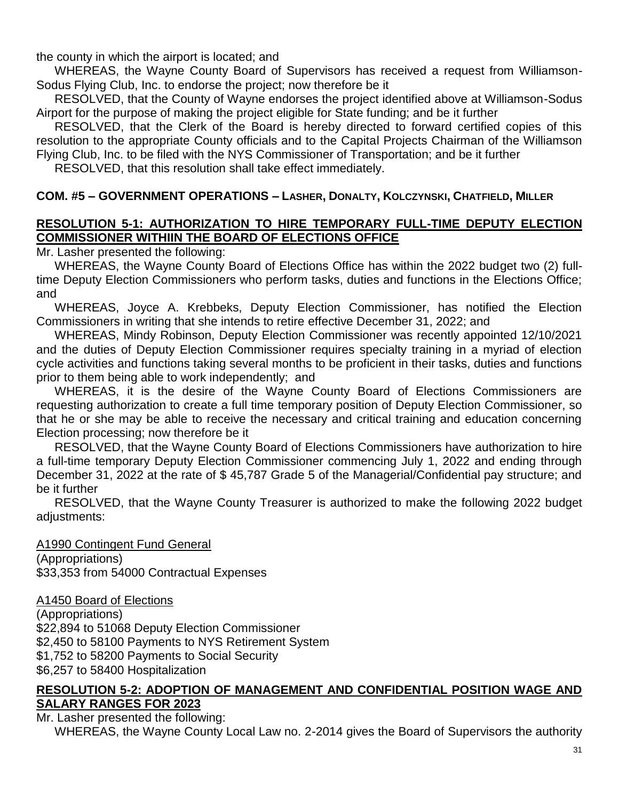the county in which the airport is located; and

WHEREAS, the Wayne County Board of Supervisors has received a request from Williamson-Sodus Flying Club, Inc. to endorse the project; now therefore be it

RESOLVED, that the County of Wayne endorses the project identified above at Williamson-Sodus Airport for the purpose of making the project eligible for State funding; and be it further

RESOLVED, that the Clerk of the Board is hereby directed to forward certified copies of this resolution to the appropriate County officials and to the Capital Projects Chairman of the Williamson Flying Club, Inc. to be filed with the NYS Commissioner of Transportation; and be it further

RESOLVED, that this resolution shall take effect immediately.

## **COM. #5 – GOVERNMENT OPERATIONS – LASHER, DONALTY, KOLCZYNSKI, CHATFIELD, MILLER**

## **RESOLUTION 5-1: AUTHORIZATION TO HIRE TEMPORARY FULL-TIME DEPUTY ELECTION COMMISSIONER WITHIIN THE BOARD OF ELECTIONS OFFICE**

Mr. Lasher presented the following:

WHEREAS, the Wayne County Board of Elections Office has within the 2022 budget two (2) fulltime Deputy Election Commissioners who perform tasks, duties and functions in the Elections Office; and

WHEREAS, Joyce A. Krebbeks, Deputy Election Commissioner, has notified the Election Commissioners in writing that she intends to retire effective December 31, 2022; and

WHEREAS, Mindy Robinson, Deputy Election Commissioner was recently appointed 12/10/2021 and the duties of Deputy Election Commissioner requires specialty training in a myriad of election cycle activities and functions taking several months to be proficient in their tasks, duties and functions prior to them being able to work independently; and

WHEREAS, it is the desire of the Wayne County Board of Elections Commissioners are requesting authorization to create a full time temporary position of Deputy Election Commissioner, so that he or she may be able to receive the necessary and critical training and education concerning Election processing; now therefore be it

RESOLVED, that the Wayne County Board of Elections Commissioners have authorization to hire a full-time temporary Deputy Election Commissioner commencing July 1, 2022 and ending through December 31, 2022 at the rate of \$ 45,787 Grade 5 of the Managerial/Confidential pay structure; and be it further

RESOLVED, that the Wayne County Treasurer is authorized to make the following 2022 budget adjustments:

A1990 Contingent Fund General (Appropriations) \$33,353 from 54000 Contractual Expenses

A1450 Board of Elections

(Appropriations) \$22,894 to 51068 Deputy Election Commissioner \$2,450 to 58100 Payments to NYS Retirement System \$1,752 to 58200 Payments to Social Security \$6,257 to 58400 Hospitalization

#### **RESOLUTION 5-2: ADOPTION OF MANAGEMENT AND CONFIDENTIAL POSITION WAGE AND SALARY RANGES FOR 2023**

Mr. Lasher presented the following:

WHEREAS, the Wayne County Local Law no. 2-2014 gives the Board of Supervisors the authority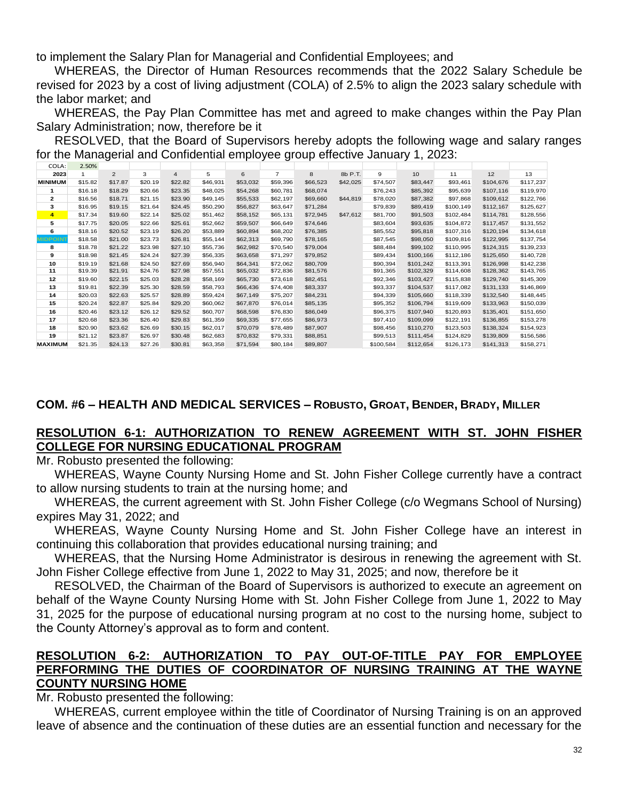to implement the Salary Plan for Managerial and Confidential Employees; and

WHEREAS, the Director of Human Resources recommends that the 2022 Salary Schedule be revised for 2023 by a cost of living adjustment (COLA) of 2.5% to align the 2023 salary schedule with the labor market; and

WHEREAS, the Pay Plan Committee has met and agreed to make changes within the Pay Plan Salary Administration; now, therefore be it

RESOLVED, that the Board of Supervisors hereby adopts the following wage and salary ranges for the Managerial and Confidential employee group effective January 1, 2023:

| COLA:          | 2.50%   |                |         |                |          |          |                |          |          |           |           |           |           |           |
|----------------|---------|----------------|---------|----------------|----------|----------|----------------|----------|----------|-----------|-----------|-----------|-----------|-----------|
| 2023           |         | $\overline{2}$ | 3       | $\overline{4}$ | 5        | 6        | $\overline{7}$ | 8        | 8b P.T.  | 9         | 10        | 11        | 12        | 13        |
| <b>MINIMUM</b> | \$15.82 | \$17.87        | \$20.19 | \$22.82        | \$46.931 | \$53,032 | \$59,396       | \$66,523 | \$42,025 | \$74,507  | \$83,447  | \$93,461  | \$104,676 | \$117,237 |
|                | \$16.18 | \$18.29        | \$20.66 | \$23.35        | \$48,025 | \$54,268 | \$60.781       | \$68,074 |          | \$76,243  | \$85,392  | \$95,639  | \$107.116 | \$119,970 |
| $\mathbf{2}$   | \$16.56 | \$18.71        | \$21.15 | \$23.90        | \$49,145 | \$55,533 | \$62,197       | \$69,660 | \$44,819 | \$78,020  | \$87,382  | \$97.868  | \$109,612 | \$122,766 |
| з              | \$16.95 | \$19.15        | \$21.64 | \$24.45        | \$50,290 | \$56,827 | \$63.647       | \$71,284 |          | \$79,839  | \$89,419  | \$100,149 | \$112,167 | \$125,627 |
| $\overline{4}$ | \$17.34 | \$19.60        | \$22.14 | \$25.02        | \$51,462 | \$58.152 | \$65,131       | \$72,945 | \$47,612 | \$81,700  | \$91,503  | \$102.484 | \$114.781 | \$128,556 |
| 5              | \$17.75 | \$20.05        | \$22.66 | \$25.61        | \$52,662 | \$59,507 | \$66,649       | \$74,646 |          | \$83,604  | \$93,635  | \$104.872 | \$117,457 | \$131,552 |
| 6              | \$18.16 | \$20.52        | \$23.19 | \$26.20        | \$53,889 | \$60,894 | \$68,202       | \$76,385 |          | \$85,552  | \$95,818  | \$107.316 | \$120.194 | \$134,618 |
| <b>IDPOIN</b>  | \$18.58 | \$21.00        | \$23.73 | \$26.81        | \$55,144 | \$62,313 | \$69,790       | \$78,165 |          | \$87,545  | \$98,050  | \$109,816 | \$122,995 | \$137,754 |
| 8              | \$18.78 | \$21.22        | \$23.98 | \$27.10        | \$55,736 | \$62,982 | \$70,540       | \$79,004 |          | \$88,484  | \$99,102  | \$110,995 | \$124,315 | \$139,233 |
| 9              | \$18.98 | \$21.45        | \$24.24 | \$27.39        | \$56,335 | \$63,658 | \$71,297       | \$79,852 |          | \$89,434  | \$100,166 | \$112,186 | \$125,650 | \$140,728 |
| 10             | \$19.19 | \$21.68        | \$24.50 | \$27.69        | \$56,940 | \$64,341 | \$72.062       | \$80,709 |          | \$90,394  | \$101,242 | \$113.391 | \$126.998 | \$142,238 |
| 11             | \$19.39 | \$21.91        | \$24.76 | \$27.98        | \$57.551 | \$65,032 | \$72,836       | \$81,576 |          | \$91,365  | \$102,329 | \$114,608 | \$128,362 | \$143,765 |
| 12             | \$19.60 | \$22.15        | \$25.03 | \$28.28        | \$58,169 | \$65,730 | \$73,618       | \$82,451 |          | \$92,346  | \$103,427 | \$115,838 | \$129,740 | \$145,309 |
| 13             | \$19.81 | \$22.39        | \$25.30 | \$28.59        | \$58,793 | \$66,436 | \$74,408       | \$83,337 |          | \$93,337  | \$104,537 | \$117.082 | \$131,133 | \$146,869 |
| 14             | \$20.03 | \$22.63        | \$25.57 | \$28.89        | \$59,424 | \$67,149 | \$75,207       | \$84,231 |          | \$94,339  | \$105,660 | \$118,339 | \$132,540 | \$148,445 |
| 15             | \$20.24 | \$22.87        | \$25.84 | \$29.20        | \$60,062 | \$67,870 | \$76.014       | \$85,135 |          | \$95,352  | \$106,794 | \$119,609 | \$133,963 | \$150,039 |
| 16             | \$20.46 | \$23.12        | \$26.12 | \$29.52        | \$60,707 | \$68,598 | \$76,830       | \$86,049 |          | \$96,375  | \$107,940 | \$120.893 | \$135,401 | \$151,650 |
| 17             | \$20.68 | \$23.36        | \$26.40 | \$29.83        | \$61,359 | \$69,335 | \$77,655       | \$86,973 |          | \$97,410  | \$109,099 | \$122,191 | \$136,855 | \$153,278 |
| 18             | \$20.90 | \$23.62        | \$26.69 | \$30.15        | \$62,017 | \$70,079 | \$78,489       | \$87,907 |          | \$98,456  | \$110,270 | \$123,503 | \$138,324 | \$154,923 |
| 19             | \$21.12 | \$23.87        | \$26.97 | \$30.48        | \$62,683 | \$70,832 | \$79.331       | \$88,851 |          | \$99,513  | \$111,454 | \$124.829 | \$139,809 | \$156,586 |
| <b>MAXIMUM</b> | \$21.35 | \$24.13        | \$27.26 | \$30.81        | \$63,358 | \$71,594 | \$80,184       | \$89,807 |          | \$100.584 | \$112,654 | \$126.173 | \$141,313 | \$158,271 |

## **COM. #6 – HEALTH AND MEDICAL SERVICES – ROBUSTO, GROAT, BENDER, BRADY, MILLER**

## **RESOLUTION 6-1: AUTHORIZATION TO RENEW AGREEMENT WITH ST. JOHN FISHER COLLEGE FOR NURSING EDUCATIONAL PROGRAM**

Mr. Robusto presented the following:

WHEREAS, Wayne County Nursing Home and St. John Fisher College currently have a contract to allow nursing students to train at the nursing home; and

WHEREAS, the current agreement with St. John Fisher College (c/o Wegmans School of Nursing) expires May 31, 2022; and

WHEREAS, Wayne County Nursing Home and St. John Fisher College have an interest in continuing this collaboration that provides educational nursing training; and

WHEREAS, that the Nursing Home Administrator is desirous in renewing the agreement with St. John Fisher College effective from June 1, 2022 to May 31, 2025; and now, therefore be it

RESOLVED, the Chairman of the Board of Supervisors is authorized to execute an agreement on behalf of the Wayne County Nursing Home with St. John Fisher College from June 1, 2022 to May 31, 2025 for the purpose of educational nursing program at no cost to the nursing home, subject to the County Attorney's approval as to form and content.

#### **RESOLUTION 6-2: AUTHORIZATION TO PAY OUT-OF-TITLE PAY FOR EMPLOYEE PERFORMING THE DUTIES OF COORDINATOR OF NURSING TRAINING AT THE WAYNE COUNTY NURSING HOME**

#### Mr. Robusto presented the following:

WHEREAS, current employee within the title of Coordinator of Nursing Training is on an approved leave of absence and the continuation of these duties are an essential function and necessary for the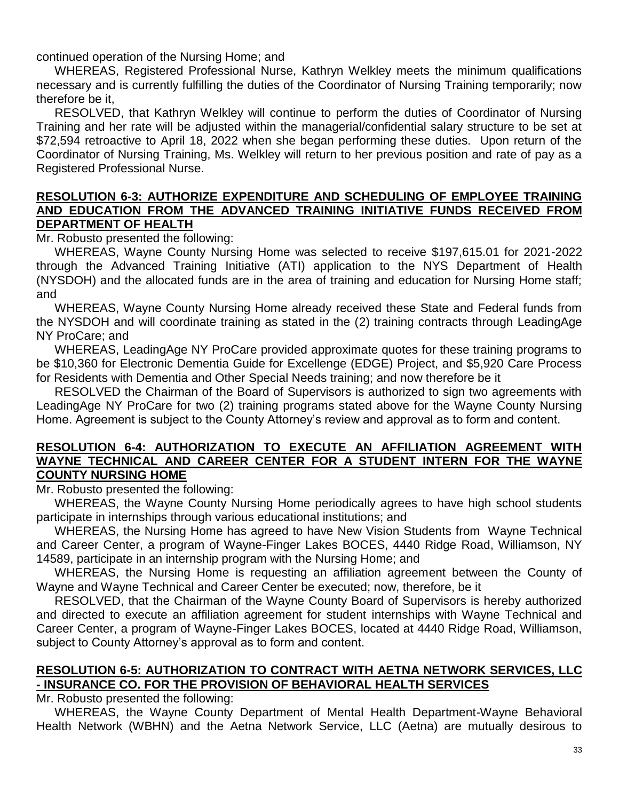continued operation of the Nursing Home; and

WHEREAS, Registered Professional Nurse, Kathryn Welkley meets the minimum qualifications necessary and is currently fulfilling the duties of the Coordinator of Nursing Training temporarily; now therefore be it,

RESOLVED, that Kathryn Welkley will continue to perform the duties of Coordinator of Nursing Training and her rate will be adjusted within the managerial/confidential salary structure to be set at \$72,594 retroactive to April 18, 2022 when she began performing these duties. Upon return of the Coordinator of Nursing Training, Ms. Welkley will return to her previous position and rate of pay as a Registered Professional Nurse.

#### **RESOLUTION 6-3: AUTHORIZE EXPENDITURE AND SCHEDULING OF EMPLOYEE TRAINING AND EDUCATION FROM THE ADVANCED TRAINING INITIATIVE FUNDS RECEIVED FROM DEPARTMENT OF HEALTH**

Mr. Robusto presented the following:

WHEREAS, Wayne County Nursing Home was selected to receive \$197,615.01 for 2021-2022 through the Advanced Training Initiative (ATI) application to the NYS Department of Health (NYSDOH) and the allocated funds are in the area of training and education for Nursing Home staff; and

WHEREAS, Wayne County Nursing Home already received these State and Federal funds from the NYSDOH and will coordinate training as stated in the (2) training contracts through LeadingAge NY ProCare; and

WHEREAS, LeadingAge NY ProCare provided approximate quotes for these training programs to be \$10,360 for Electronic Dementia Guide for Excellenge (EDGE) Project, and \$5,920 Care Process for Residents with Dementia and Other Special Needs training; and now therefore be it

RESOLVED the Chairman of the Board of Supervisors is authorized to sign two agreements with LeadingAge NY ProCare for two (2) training programs stated above for the Wayne County Nursing Home. Agreement is subject to the County Attorney's review and approval as to form and content.

#### **RESOLUTION 6-4: AUTHORIZATION TO EXECUTE AN AFFILIATION AGREEMENT WITH WAYNE TECHNICAL AND CAREER CENTER FOR A STUDENT INTERN FOR THE WAYNE COUNTY NURSING HOME**

Mr. Robusto presented the following:

WHEREAS, the Wayne County Nursing Home periodically agrees to have high school students participate in internships through various educational institutions; and

WHEREAS, the Nursing Home has agreed to have New Vision Students from Wayne Technical and Career Center, a program of Wayne-Finger Lakes BOCES, 4440 Ridge Road, Williamson, NY 14589, participate in an internship program with the Nursing Home; and

WHEREAS, the Nursing Home is requesting an affiliation agreement between the County of Wayne and Wayne Technical and Career Center be executed; now, therefore, be it

RESOLVED, that the Chairman of the Wayne County Board of Supervisors is hereby authorized and directed to execute an affiliation agreement for student internships with Wayne Technical and Career Center, a program of Wayne-Finger Lakes BOCES, located at 4440 Ridge Road, Williamson, subject to County Attorney's approval as to form and content.

# **RESOLUTION 6-5: AUTHORIZATION TO CONTRACT WITH AETNA NETWORK SERVICES, LLC - INSURANCE CO. FOR THE PROVISION OF BEHAVIORAL HEALTH SERVICES**

Mr. Robusto presented the following:

WHEREAS, the Wayne County Department of Mental Health Department-Wayne Behavioral Health Network (WBHN) and the Aetna Network Service, LLC (Aetna) are mutually desirous to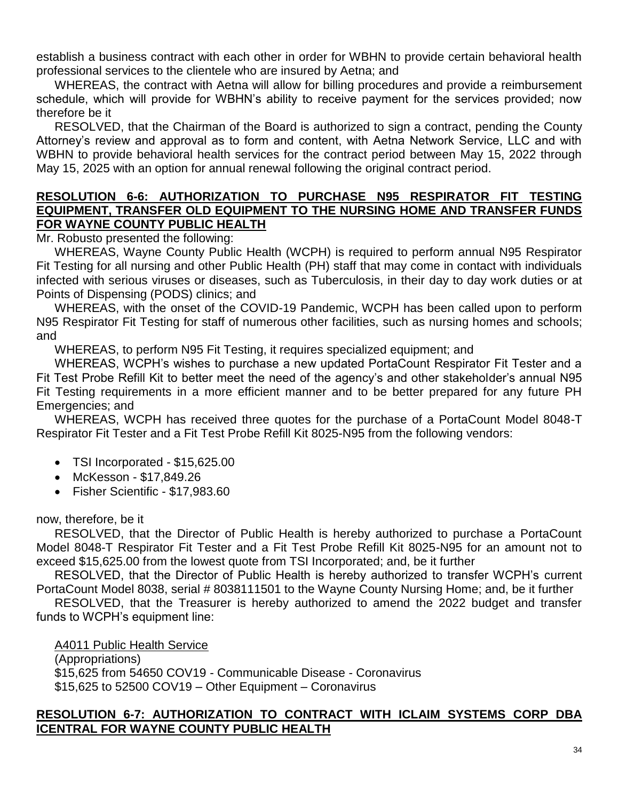establish a business contract with each other in order for WBHN to provide certain behavioral health professional services to the clientele who are insured by Aetna; and

WHEREAS, the contract with Aetna will allow for billing procedures and provide a reimbursement schedule, which will provide for WBHN's ability to receive payment for the services provided; now therefore be it

RESOLVED, that the Chairman of the Board is authorized to sign a contract, pending the County Attorney's review and approval as to form and content, with Aetna Network Service, LLC and with WBHN to provide behavioral health services for the contract period between May 15, 2022 through May 15, 2025 with an option for annual renewal following the original contract period.

#### **RESOLUTION 6-6: AUTHORIZATION TO PURCHASE N95 RESPIRATOR FIT TESTING EQUIPMENT, TRANSFER OLD EQUIPMENT TO THE NURSING HOME AND TRANSFER FUNDS FOR WAYNE COUNTY PUBLIC HEALTH**

Mr. Robusto presented the following:

WHEREAS, Wayne County Public Health (WCPH) is required to perform annual N95 Respirator Fit Testing for all nursing and other Public Health (PH) staff that may come in contact with individuals infected with serious viruses or diseases, such as Tuberculosis, in their day to day work duties or at Points of Dispensing (PODS) clinics; and

WHEREAS, with the onset of the COVID-19 Pandemic, WCPH has been called upon to perform N95 Respirator Fit Testing for staff of numerous other facilities, such as nursing homes and schools; and

WHEREAS, to perform N95 Fit Testing, it requires specialized equipment; and

WHEREAS, WCPH's wishes to purchase a new updated PortaCount Respirator Fit Tester and a Fit Test Probe Refill Kit to better meet the need of the agency's and other stakeholder's annual N95 Fit Testing requirements in a more efficient manner and to be better prepared for any future PH Emergencies; and

WHEREAS, WCPH has received three quotes for the purchase of a PortaCount Model 8048-T Respirator Fit Tester and a Fit Test Probe Refill Kit 8025-N95 from the following vendors:

- TSI Incorporated \$15,625.00
- McKesson \$17,849.26
- Fisher Scientific \$17,983.60

#### now, therefore, be it

RESOLVED, that the Director of Public Health is hereby authorized to purchase a PortaCount Model 8048-T Respirator Fit Tester and a Fit Test Probe Refill Kit 8025-N95 for an amount not to exceed \$15,625.00 from the lowest quote from TSI Incorporated; and, be it further

RESOLVED, that the Director of Public Health is hereby authorized to transfer WCPH's current PortaCount Model 8038, serial # 8038111501 to the Wayne County Nursing Home; and, be it further

RESOLVED, that the Treasurer is hereby authorized to amend the 2022 budget and transfer funds to WCPH's equipment line:

A4011 Public Health Service (Appropriations) \$15,625 from 54650 COV19 - Communicable Disease - Coronavirus \$15,625 to 52500 COV19 – Other Equipment – Coronavirus

#### **RESOLUTION 6-7: AUTHORIZATION TO CONTRACT WITH ICLAIM SYSTEMS CORP DBA ICENTRAL FOR WAYNE COUNTY PUBLIC HEALTH**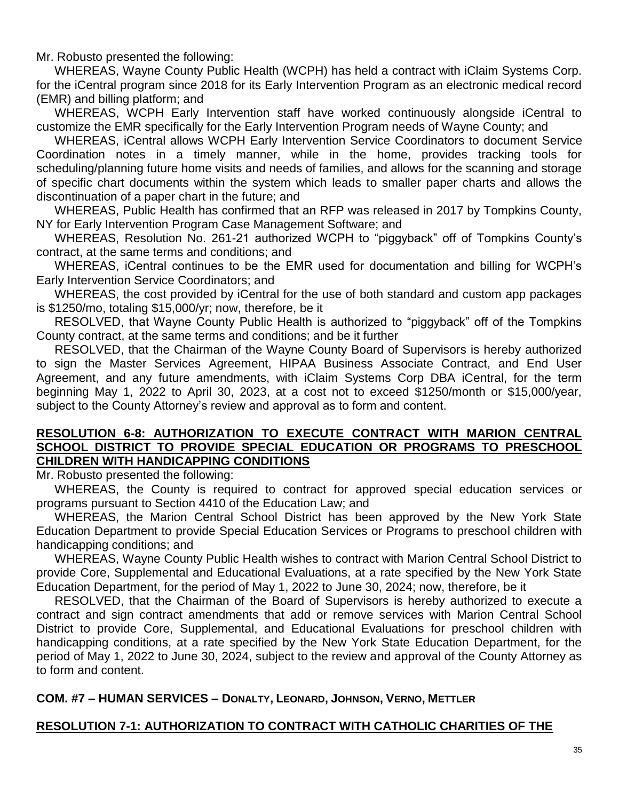Mr. Robusto presented the following:

WHEREAS, Wayne County Public Health (WCPH) has held a contract with iClaim Systems Corp. for the iCentral program since 2018 for its Early Intervention Program as an electronic medical record (EMR) and billing platform; and

WHEREAS, WCPH Early Intervention staff have worked continuously alongside iCentral to customize the EMR specifically for the Early Intervention Program needs of Wayne County; and

WHEREAS, iCentral allows WCPH Early Intervention Service Coordinators to document Service Coordination notes in a timely manner, while in the home, provides tracking tools for scheduling/planning future home visits and needs of families, and allows for the scanning and storage of specific chart documents within the system which leads to smaller paper charts and allows the discontinuation of a paper chart in the future; and

WHEREAS, Public Health has confirmed that an RFP was released in 2017 by Tompkins County, NY for Early Intervention Program Case Management Software; and

WHEREAS, Resolution No. 261-21 authorized WCPH to "piggyback" off of Tompkins County's contract, at the same terms and conditions; and

WHEREAS, iCentral continues to be the EMR used for documentation and billing for WCPH's Early Intervention Service Coordinators; and

WHEREAS, the cost provided by iCentral for the use of both standard and custom app packages is \$1250/mo, totaling \$15,000/yr; now, therefore, be it

RESOLVED, that Wayne County Public Health is authorized to "piggyback" off of the Tompkins County contract, at the same terms and conditions; and be it further

RESOLVED, that the Chairman of the Wayne County Board of Supervisors is hereby authorized to sign the Master Services Agreement, HIPAA Business Associate Contract, and End User Agreement, and any future amendments, with iClaim Systems Corp DBA iCentral, for the term beginning May 1, 2022 to April 30, 2023, at a cost not to exceed \$1250/month or \$15,000/year, subject to the County Attorney's review and approval as to form and content.

#### **RESOLUTION 6-8: AUTHORIZATION TO EXECUTE CONTRACT WITH MARION CENTRAL SCHOOL DISTRICT TO PROVIDE SPECIAL EDUCATION OR PROGRAMS TO PRESCHOOL CHILDREN WITH HANDICAPPING CONDITIONS**

Mr. Robusto presented the following:

WHEREAS, the County is required to contract for approved special education services or programs pursuant to Section 4410 of the Education Law; and

WHEREAS, the Marion Central School District has been approved by the New York State Education Department to provide Special Education Services or Programs to preschool children with handicapping conditions; and

WHEREAS, Wayne County Public Health wishes to contract with Marion Central School District to provide Core, Supplemental and Educational Evaluations, at a rate specified by the New York State Education Department, for the period of May 1, 2022 to June 30, 2024; now, therefore, be it

RESOLVED, that the Chairman of the Board of Supervisors is hereby authorized to execute a contract and sign contract amendments that add or remove services with Marion Central School District to provide Core, Supplemental, and Educational Evaluations for preschool children with handicapping conditions, at a rate specified by the New York State Education Department, for the period of May 1, 2022 to June 30, 2024, subject to the review and approval of the County Attorney as to form and content.

## **COM. #7 – HUMAN SERVICES – DONALTY, LEONARD, JOHNSON, VERNO, METTLER**

#### **RESOLUTION 7-1: AUTHORIZATION TO CONTRACT WITH CATHOLIC CHARITIES OF THE**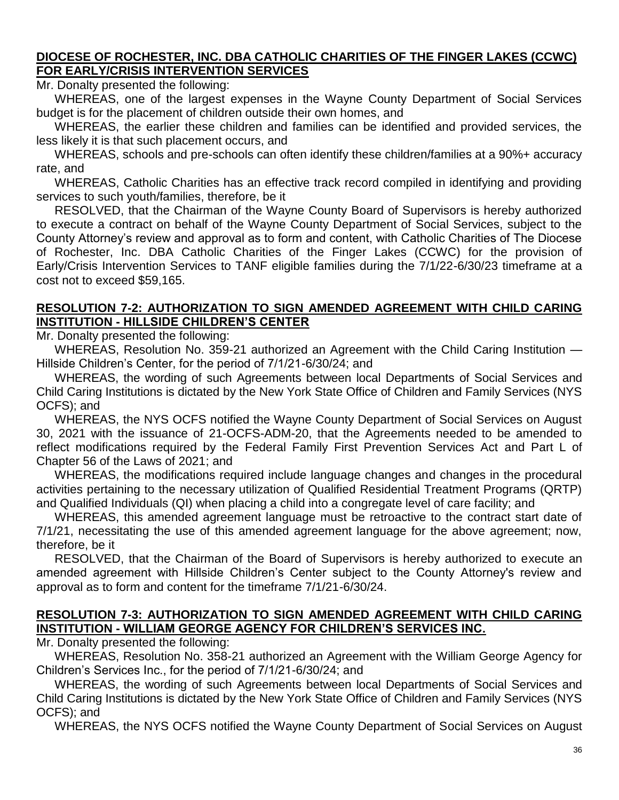## **DIOCESE OF ROCHESTER, INC. DBA CATHOLIC CHARITIES OF THE FINGER LAKES (CCWC) FOR EARLY/CRISIS INTERVENTION SERVICES**

Mr. Donalty presented the following:

WHEREAS, one of the largest expenses in the Wayne County Department of Social Services budget is for the placement of children outside their own homes, and

WHEREAS, the earlier these children and families can be identified and provided services, the less likely it is that such placement occurs, and

WHEREAS, schools and pre-schools can often identify these children/families at a 90%+ accuracy rate, and

WHEREAS, Catholic Charities has an effective track record compiled in identifying and providing services to such youth/families, therefore, be it

RESOLVED, that the Chairman of the Wayne County Board of Supervisors is hereby authorized to execute a contract on behalf of the Wayne County Department of Social Services, subject to the County Attorney's review and approval as to form and content, with Catholic Charities of The Diocese of Rochester, Inc. DBA Catholic Charities of the Finger Lakes (CCWC) for the provision of Early/Crisis Intervention Services to TANF eligible families during the 7/1/22-6/30/23 timeframe at a cost not to exceed \$59,165.

## **RESOLUTION 7-2: AUTHORIZATION TO SIGN AMENDED AGREEMENT WITH CHILD CARING INSTITUTION - HILLSIDE CHILDREN'S CENTER**

Mr. Donalty presented the following:

WHEREAS, Resolution No. 359-21 authorized an Agreement with the Child Caring Institution — Hillside Children's Center, for the period of 7/1/21-6/30/24; and

WHEREAS, the wording of such Agreements between local Departments of Social Services and Child Caring Institutions is dictated by the New York State Office of Children and Family Services (NYS OCFS); and

WHEREAS, the NYS OCFS notified the Wayne County Department of Social Services on August 30, 2021 with the issuance of 21-OCFS-ADM-20, that the Agreements needed to be amended to reflect modifications required by the Federal Family First Prevention Services Act and Part L of Chapter 56 of the Laws of 2021; and

WHEREAS, the modifications required include language changes and changes in the procedural activities pertaining to the necessary utilization of Qualified Residential Treatment Programs (QRTP) and Qualified Individuals (QI) when placing a child into a congregate level of care facility; and

WHEREAS, this amended agreement language must be retroactive to the contract start date of 7/1/21, necessitating the use of this amended agreement language for the above agreement; now, therefore, be it

RESOLVED, that the Chairman of the Board of Supervisors is hereby authorized to execute an amended agreement with Hillside Children's Center subject to the County Attorney's review and approval as to form and content for the timeframe 7/1/21-6/30/24.

## **RESOLUTION 7-3: AUTHORIZATION TO SIGN AMENDED AGREEMENT WITH CHILD CARING INSTITUTION - WILLIAM GEORGE AGENCY FOR CHILDREN'S SERVICES INC.**

Mr. Donalty presented the following:

WHEREAS, Resolution No. 358-21 authorized an Agreement with the William George Agency for Children's Services Inc., for the period of 7/1/21-6/30/24; and

WHEREAS, the wording of such Agreements between local Departments of Social Services and Child Caring Institutions is dictated by the New York State Office of Children and Family Services (NYS OCFS); and

WHEREAS, the NYS OCFS notified the Wayne County Department of Social Services on August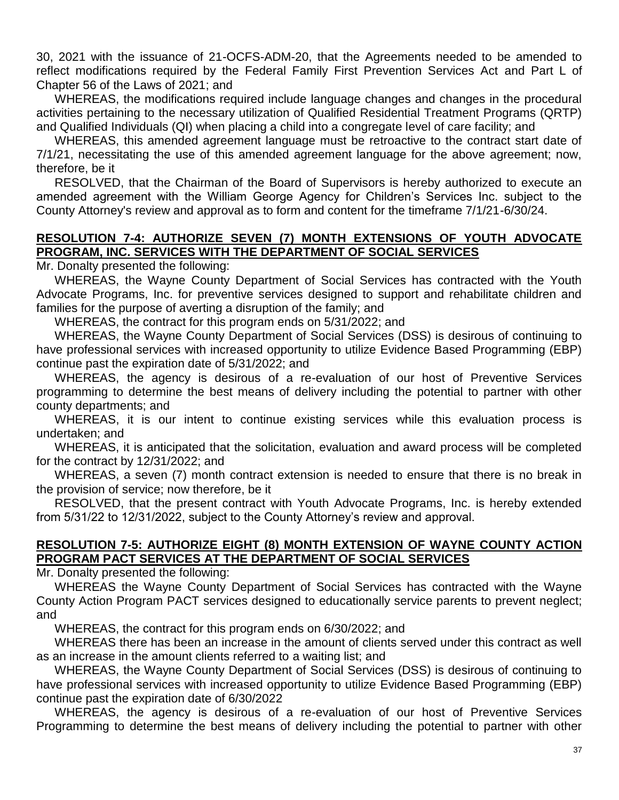30, 2021 with the issuance of 21-OCFS-ADM-20, that the Agreements needed to be amended to reflect modifications required by the Federal Family First Prevention Services Act and Part L of Chapter 56 of the Laws of 2021; and

WHEREAS, the modifications required include language changes and changes in the procedural activities pertaining to the necessary utilization of Qualified Residential Treatment Programs (QRTP) and Qualified Individuals (QI) when placing a child into a congregate level of care facility; and

WHEREAS, this amended agreement language must be retroactive to the contract start date of 7/1/21, necessitating the use of this amended agreement language for the above agreement; now, therefore, be it

RESOLVED, that the Chairman of the Board of Supervisors is hereby authorized to execute an amended agreement with the William George Agency for Children's Services Inc. subject to the County Attorney's review and approval as to form and content for the timeframe 7/1/21-6/30/24.

## **RESOLUTION 7-4: AUTHORIZE SEVEN (7) MONTH EXTENSIONS OF YOUTH ADVOCATE PROGRAM, INC. SERVICES WITH THE DEPARTMENT OF SOCIAL SERVICES**

Mr. Donalty presented the following:

WHEREAS, the Wayne County Department of Social Services has contracted with the Youth Advocate Programs, Inc. for preventive services designed to support and rehabilitate children and families for the purpose of averting a disruption of the family; and

WHEREAS, the contract for this program ends on 5/31/2022; and

WHEREAS, the Wayne County Department of Social Services (DSS) is desirous of continuing to have professional services with increased opportunity to utilize Evidence Based Programming (EBP) continue past the expiration date of 5/31/2022; and

WHEREAS, the agency is desirous of a re-evaluation of our host of Preventive Services programming to determine the best means of delivery including the potential to partner with other county departments; and

WHEREAS, it is our intent to continue existing services while this evaluation process is undertaken; and

WHEREAS, it is anticipated that the solicitation, evaluation and award process will be completed for the contract by 12/31/2022; and

WHEREAS, a seven (7) month contract extension is needed to ensure that there is no break in the provision of service; now therefore, be it

RESOLVED, that the present contract with Youth Advocate Programs, Inc. is hereby extended from 5/31/22 to 12/31/2022, subject to the County Attorney's review and approval.

#### **RESOLUTION 7-5: AUTHORIZE EIGHT (8) MONTH EXTENSION OF WAYNE COUNTY ACTION PROGRAM PACT SERVICES AT THE DEPARTMENT OF SOCIAL SERVICES**

Mr. Donalty presented the following:

WHEREAS the Wayne County Department of Social Services has contracted with the Wayne County Action Program PACT services designed to educationally service parents to prevent neglect; and

WHEREAS, the contract for this program ends on 6/30/2022; and

WHEREAS there has been an increase in the amount of clients served under this contract as well as an increase in the amount clients referred to a waiting list; and

WHEREAS, the Wayne County Department of Social Services (DSS) is desirous of continuing to have professional services with increased opportunity to utilize Evidence Based Programming (EBP) continue past the expiration date of 6/30/2022

WHEREAS, the agency is desirous of a re-evaluation of our host of Preventive Services Programming to determine the best means of delivery including the potential to partner with other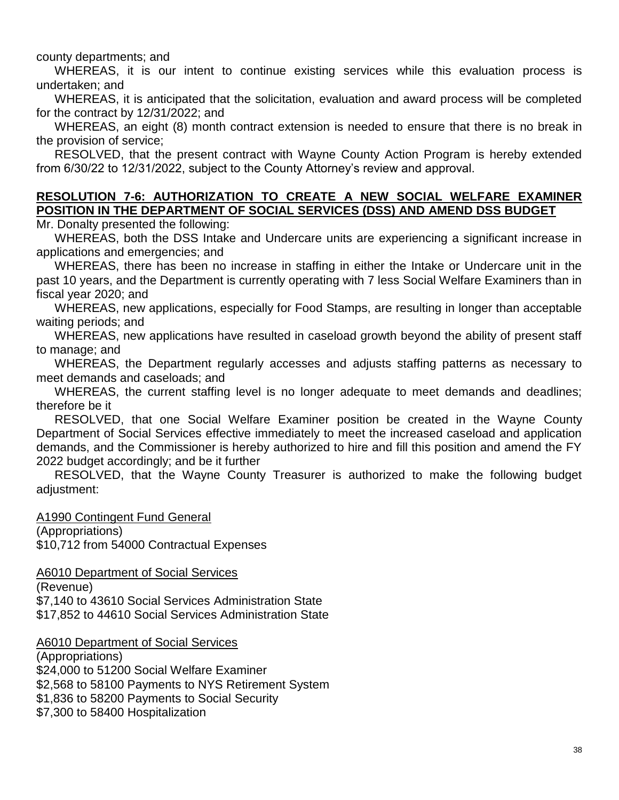county departments; and

WHEREAS, it is our intent to continue existing services while this evaluation process is undertaken; and

WHEREAS, it is anticipated that the solicitation, evaluation and award process will be completed for the contract by 12/31/2022; and

WHEREAS, an eight (8) month contract extension is needed to ensure that there is no break in the provision of service;

RESOLVED, that the present contract with Wayne County Action Program is hereby extended from 6/30/22 to 12/31/2022, subject to the County Attorney's review and approval.

## **RESOLUTION 7-6: AUTHORIZATION TO CREATE A NEW SOCIAL WELFARE EXAMINER POSITION IN THE DEPARTMENT OF SOCIAL SERVICES (DSS) AND AMEND DSS BUDGET**

Mr. Donalty presented the following:

WHEREAS, both the DSS Intake and Undercare units are experiencing a significant increase in applications and emergencies; and

WHEREAS, there has been no increase in staffing in either the Intake or Undercare unit in the past 10 years, and the Department is currently operating with 7 less Social Welfare Examiners than in fiscal year 2020; and

WHEREAS, new applications, especially for Food Stamps, are resulting in longer than acceptable waiting periods; and

WHEREAS, new applications have resulted in caseload growth beyond the ability of present staff to manage; and

WHEREAS, the Department regularly accesses and adjusts staffing patterns as necessary to meet demands and caseloads; and

WHEREAS, the current staffing level is no longer adequate to meet demands and deadlines; therefore be it

RESOLVED, that one Social Welfare Examiner position be created in the Wayne County Department of Social Services effective immediately to meet the increased caseload and application demands, and the Commissioner is hereby authorized to hire and fill this position and amend the FY 2022 budget accordingly; and be it further

RESOLVED, that the Wayne County Treasurer is authorized to make the following budget adjustment:

A1990 Contingent Fund General (Appropriations) \$10,712 from 54000 Contractual Expenses

A6010 Department of Social Services

(Revenue) \$7,140 to 43610 Social Services Administration State \$17,852 to 44610 Social Services Administration State

A6010 Department of Social Services

(Appropriations) \$24,000 to 51200 Social Welfare Examiner \$2,568 to 58100 Payments to NYS Retirement System \$1,836 to 58200 Payments to Social Security \$7,300 to 58400 Hospitalization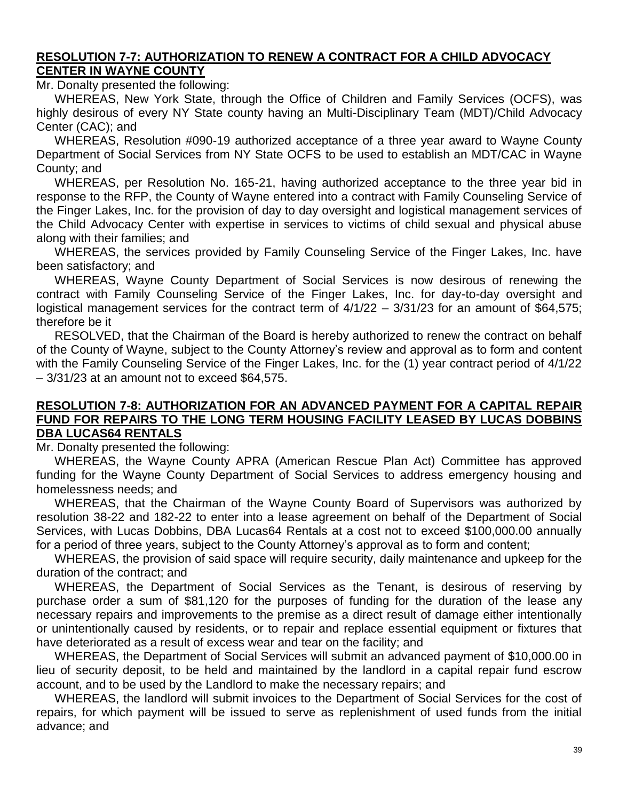#### **RESOLUTION 7-7: AUTHORIZATION TO RENEW A CONTRACT FOR A CHILD ADVOCACY CENTER IN WAYNE COUNTY**

Mr. Donalty presented the following:

WHEREAS, New York State, through the Office of Children and Family Services (OCFS), was highly desirous of every NY State county having an Multi-Disciplinary Team (MDT)/Child Advocacy Center (CAC); and

WHEREAS, Resolution #090-19 authorized acceptance of a three year award to Wayne County Department of Social Services from NY State OCFS to be used to establish an MDT/CAC in Wayne County; and

WHEREAS, per Resolution No. 165-21, having authorized acceptance to the three year bid in response to the RFP, the County of Wayne entered into a contract with Family Counseling Service of the Finger Lakes, Inc. for the provision of day to day oversight and logistical management services of the Child Advocacy Center with expertise in services to victims of child sexual and physical abuse along with their families; and

WHEREAS, the services provided by Family Counseling Service of the Finger Lakes, Inc. have been satisfactory; and

WHEREAS, Wayne County Department of Social Services is now desirous of renewing the contract with Family Counseling Service of the Finger Lakes, Inc. for day-to-day oversight and logistical management services for the contract term of  $4/1/22 - 3/31/23$  for an amount of \$64,575; therefore be it

RESOLVED, that the Chairman of the Board is hereby authorized to renew the contract on behalf of the County of Wayne, subject to the County Attorney's review and approval as to form and content with the Family Counseling Service of the Finger Lakes, Inc. for the (1) year contract period of 4/1/22 – 3/31/23 at an amount not to exceed \$64,575.

#### **RESOLUTION 7-8: AUTHORIZATION FOR AN ADVANCED PAYMENT FOR A CAPITAL REPAIR FUND FOR REPAIRS TO THE LONG TERM HOUSING FACILITY LEASED BY LUCAS DOBBINS DBA LUCAS64 RENTALS**

Mr. Donalty presented the following:

WHEREAS, the Wayne County APRA (American Rescue Plan Act) Committee has approved funding for the Wayne County Department of Social Services to address emergency housing and homelessness needs; and

WHEREAS, that the Chairman of the Wayne County Board of Supervisors was authorized by resolution 38-22 and 182-22 to enter into a lease agreement on behalf of the Department of Social Services, with Lucas Dobbins, DBA Lucas64 Rentals at a cost not to exceed \$100,000.00 annually for a period of three years, subject to the County Attorney's approval as to form and content;

WHEREAS, the provision of said space will require security, daily maintenance and upkeep for the duration of the contract; and

WHEREAS, the Department of Social Services as the Tenant, is desirous of reserving by purchase order a sum of \$81,120 for the purposes of funding for the duration of the lease any necessary repairs and improvements to the premise as a direct result of damage either intentionally or unintentionally caused by residents, or to repair and replace essential equipment or fixtures that have deteriorated as a result of excess wear and tear on the facility; and

WHEREAS, the Department of Social Services will submit an advanced payment of \$10,000.00 in lieu of security deposit, to be held and maintained by the landlord in a capital repair fund escrow account, and to be used by the Landlord to make the necessary repairs; and

WHEREAS, the landlord will submit invoices to the Department of Social Services for the cost of repairs, for which payment will be issued to serve as replenishment of used funds from the initial advance; and